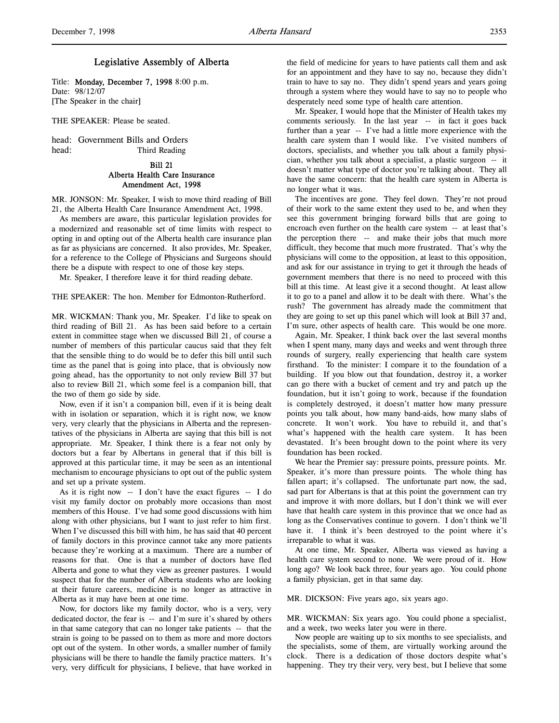# Legislative Assembly of Alberta

Title: Monday, December 7, 1998 8:00 p.m. Date: 98/12/07 [The Speaker in the chair]

THE SPEAKER: Please be seated.

head: Government Bills and Orders head: Third Reading

# Bill 21 Alberta Health Care Insurance Amendment Act, 1998

MR. JONSON: Mr. Speaker, I wish to move third reading of Bill 21, the Alberta Health Care Insurance Amendment Act, 1998.

As members are aware, this particular legislation provides for a modernized and reasonable set of time limits with respect to opting in and opting out of the Alberta health care insurance plan as far as physicians are concerned. It also provides, Mr. Speaker, for a reference to the College of Physicians and Surgeons should there be a dispute with respect to one of those key steps.

Mr. Speaker, I therefore leave it for third reading debate.

THE SPEAKER: The hon. Member for Edmonton-Rutherford.

MR. WICKMAN: Thank you, Mr. Speaker. I'd like to speak on third reading of Bill 21. As has been said before to a certain extent in committee stage when we discussed Bill 21, of course a number of members of this particular caucus said that they felt that the sensible thing to do would be to defer this bill until such time as the panel that is going into place, that is obviously now going ahead, has the opportunity to not only review Bill 37 but also to review Bill 21, which some feel is a companion bill, that the two of them go side by side.

Now, even if it isn't a companion bill, even if it is being dealt with in isolation or separation, which it is right now, we know very, very clearly that the physicians in Alberta and the representatives of the physicians in Alberta are saying that this bill is not appropriate. Mr. Speaker, I think there is a fear not only by doctors but a fear by Albertans in general that if this bill is approved at this particular time, it may be seen as an intentional mechanism to encourage physicians to opt out of the public system and set up a private system.

As it is right now -- I don't have the exact figures -- I do visit my family doctor on probably more occasions than most members of this House. I've had some good discussions with him along with other physicians, but I want to just refer to him first. When I've discussed this bill with him, he has said that 40 percent of family doctors in this province cannot take any more patients because they're working at a maximum. There are a number of reasons for that. One is that a number of doctors have fled Alberta and gone to what they view as greener pastures. I would suspect that for the number of Alberta students who are looking at their future careers, medicine is no longer as attractive in Alberta as it may have been at one time.

Now, for doctors like my family doctor, who is a very, very dedicated doctor, the fear is -- and I'm sure it's shared by others in that same category that can no longer take patients -- that the strain is going to be passed on to them as more and more doctors opt out of the system. In other words, a smaller number of family physicians will be there to handle the family practice matters. It's very, very difficult for physicians, I believe, that have worked in

the field of medicine for years to have patients call them and ask for an appointment and they have to say no, because they didn't train to have to say no. They didn't spend years and years going through a system where they would have to say no to people who desperately need some type of health care attention.

Mr. Speaker, I would hope that the Minister of Health takes my comments seriously. In the last year -- in fact it goes back further than a year -- I've had a little more experience with the health care system than I would like. I've visited numbers of doctors, specialists, and whether you talk about a family physician, whether you talk about a specialist, a plastic surgeon -- it doesn't matter what type of doctor you're talking about. They all have the same concern: that the health care system in Alberta is no longer what it was.

The incentives are gone. They feel down. They're not proud of their work to the same extent they used to be, and when they see this government bringing forward bills that are going to encroach even further on the health care system -- at least that's the perception there -- and make their jobs that much more difficult, they become that much more frustrated. That's why the physicians will come to the opposition, at least to this opposition, and ask for our assistance in trying to get it through the heads of government members that there is no need to proceed with this bill at this time. At least give it a second thought. At least allow it to go to a panel and allow it to be dealt with there. What's the rush? The government has already made the commitment that they are going to set up this panel which will look at Bill 37 and, I'm sure, other aspects of health care. This would be one more.

Again, Mr. Speaker, I think back over the last several months when I spent many, many days and weeks and went through three rounds of surgery, really experiencing that health care system firsthand. To the minister: I compare it to the foundation of a building. If you blow out that foundation, destroy it, a worker can go there with a bucket of cement and try and patch up the foundation, but it isn't going to work, because if the foundation is completely destroyed, it doesn't matter how many pressure points you talk about, how many band-aids, how many slabs of concrete. It won't work. You have to rebuild it, and that's what's happened with the health care system. It has been devastated. It's been brought down to the point where its very foundation has been rocked.

We hear the Premier say: pressure points, pressure points. Mr. Speaker, it's more than pressure points. The whole thing has fallen apart; it's collapsed. The unfortunate part now, the sad, sad part for Albertans is that at this point the government can try and improve it with more dollars, but I don't think we will ever have that health care system in this province that we once had as long as the Conservatives continue to govern. I don't think we'll have it. I think it's been destroyed to the point where it's irreparable to what it was.

At one time, Mr. Speaker, Alberta was viewed as having a health care system second to none. We were proud of it. How long ago? We look back three, four years ago. You could phone a family physician, get in that same day.

MR. DICKSON: Five years ago, six years ago.

MR. WICKMAN: Six years ago. You could phone a specialist, and a week, two weeks later you were in there.

Now people are waiting up to six months to see specialists, and the specialists, some of them, are virtually working around the clock. There is a dedication of those doctors despite what's happening. They try their very, very best, but I believe that some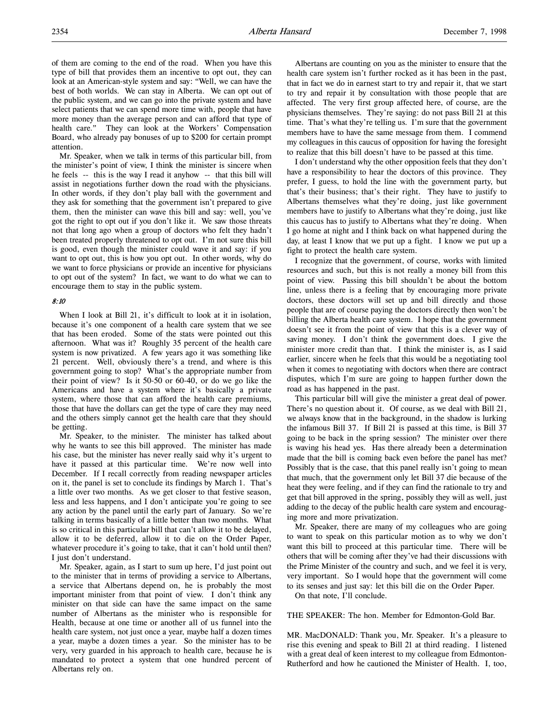of them are coming to the end of the road. When you have this type of bill that provides them an incentive to opt out, they can look at an American-style system and say: "Well, we can have the best of both worlds. We can stay in Alberta. We can opt out of the public system, and we can go into the private system and have select patients that we can spend more time with, people that have more money than the average person and can afford that type of health care." They can look at the Workers' Compensation Board, who already pay bonuses of up to \$200 for certain prompt attention.

Mr. Speaker, when we talk in terms of this particular bill, from the minister's point of view, I think the minister is sincere when he feels -- this is the way I read it anyhow -- that this bill will assist in negotiations further down the road with the physicians. In other words, if they don't play ball with the government and they ask for something that the government isn't prepared to give them, then the minister can wave this bill and say: well, you've got the right to opt out if you don't like it. We saw those threats not that long ago when a group of doctors who felt they hadn't been treated properly threatened to opt out. I'm not sure this bill is good, even though the minister could wave it and say: if you want to opt out, this is how you opt out. In other words, why do we want to force physicians or provide an incentive for physicians to opt out of the system? In fact, we want to do what we can to encourage them to stay in the public system.

# 8:10

When I look at Bill 21, it's difficult to look at it in isolation, because it's one component of a health care system that we see that has been eroded. Some of the stats were pointed out this afternoon. What was it? Roughly 35 percent of the health care system is now privatized. A few years ago it was something like 21 percent. Well, obviously there's a trend, and where is this government going to stop? What's the appropriate number from their point of view? Is it 50-50 or 60-40, or do we go like the Americans and have a system where it's basically a private system, where those that can afford the health care premiums, those that have the dollars can get the type of care they may need and the others simply cannot get the health care that they should be getting.

Mr. Speaker, to the minister. The minister has talked about why he wants to see this bill approved. The minister has made his case, but the minister has never really said why it's urgent to have it passed at this particular time. We're now well into December. If I recall correctly from reading newspaper articles on it, the panel is set to conclude its findings by March 1. That's a little over two months. As we get closer to that festive season, less and less happens, and I don't anticipate you're going to see any action by the panel until the early part of January. So we're talking in terms basically of a little better than two months. What is so critical in this particular bill that can't allow it to be delayed, allow it to be deferred, allow it to die on the Order Paper, whatever procedure it's going to take, that it can't hold until then? I just don't understand.

Mr. Speaker, again, as I start to sum up here, I'd just point out to the minister that in terms of providing a service to Albertans, a service that Albertans depend on, he is probably the most important minister from that point of view. I don't think any minister on that side can have the same impact on the same number of Albertans as the minister who is responsible for Health, because at one time or another all of us funnel into the health care system, not just once a year, maybe half a dozen times a year, maybe a dozen times a year. So the minister has to be very, very guarded in his approach to health care, because he is mandated to protect a system that one hundred percent of Albertans rely on.

Albertans are counting on you as the minister to ensure that the health care system isn't further rocked as it has been in the past, that in fact we do in earnest start to try and repair it, that we start to try and repair it by consultation with those people that are affected. The very first group affected here, of course, are the physicians themselves. They're saying: do not pass Bill 21 at this time. That's what they're telling us. I'm sure that the government members have to have the same message from them. I commend my colleagues in this caucus of opposition for having the foresight to realize that this bill doesn't have to be passed at this time.

I don't understand why the other opposition feels that they don't have a responsibility to hear the doctors of this province. They prefer, I guess, to hold the line with the government party, but that's their business; that's their right. They have to justify to Albertans themselves what they're doing, just like government members have to justify to Albertans what they're doing, just like this caucus has to justify to Albertans what they're doing. When I go home at night and I think back on what happened during the day, at least I know that we put up a fight. I know we put up a fight to protect the health care system.

I recognize that the government, of course, works with limited resources and such, but this is not really a money bill from this point of view. Passing this bill shouldn't be about the bottom line, unless there is a feeling that by encouraging more private doctors, these doctors will set up and bill directly and those people that are of course paying the doctors directly then won't be billing the Alberta health care system. I hope that the government doesn't see it from the point of view that this is a clever way of saving money. I don't think the government does. I give the minister more credit than that. I think the minister is, as I said earlier, sincere when he feels that this would be a negotiating tool when it comes to negotiating with doctors when there are contract disputes, which I'm sure are going to happen further down the road as has happened in the past.

This particular bill will give the minister a great deal of power. There's no question about it. Of course, as we deal with Bill 21, we always know that in the background, in the shadow is lurking the infamous Bill 37. If Bill 21 is passed at this time, is Bill 37 going to be back in the spring session? The minister over there is waving his head yes. Has there already been a determination made that the bill is coming back even before the panel has met? Possibly that is the case, that this panel really isn't going to mean that much, that the government only let Bill 37 die because of the heat they were feeling, and if they can find the rationale to try and get that bill approved in the spring, possibly they will as well, just adding to the decay of the public health care system and encouraging more and more privatization.

Mr. Speaker, there are many of my colleagues who are going to want to speak on this particular motion as to why we don't want this bill to proceed at this particular time. There will be others that will be coming after they've had their discussions with the Prime Minister of the country and such, and we feel it is very, very important. So I would hope that the government will come to its senses and just say: let this bill die on the Order Paper.

On that note, I'll conclude.

THE SPEAKER: The hon. Member for Edmonton-Gold Bar.

MR. MacDONALD: Thank you, Mr. Speaker. It's a pleasure to rise this evening and speak to Bill 21 at third reading. I listened with a great deal of keen interest to my colleague from Edmonton-Rutherford and how he cautioned the Minister of Health. I, too,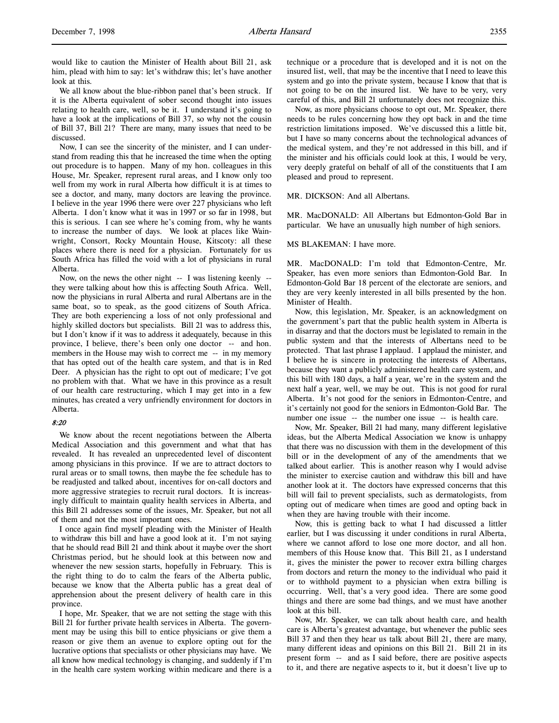would like to caution the Minister of Health about Bill 21, ask him, plead with him to say: let's withdraw this; let's have another look at this.

We all know about the blue-ribbon panel that's been struck. If it is the Alberta equivalent of sober second thought into issues relating to health care, well, so be it. I understand it's going to have a look at the implications of Bill 37, so why not the cousin of Bill 37, Bill 21? There are many, many issues that need to be discussed.

Now, I can see the sincerity of the minister, and I can understand from reading this that he increased the time when the opting out procedure is to happen. Many of my hon. colleagues in this House, Mr. Speaker, represent rural areas, and I know only too well from my work in rural Alberta how difficult it is at times to see a doctor, and many, many doctors are leaving the province. I believe in the year 1996 there were over 227 physicians who left Alberta. I don't know what it was in 1997 or so far in 1998, but this is serious. I can see where he's coming from, why he wants to increase the number of days. We look at places like Wainwright, Consort, Rocky Mountain House, Kitscoty: all these places where there is need for a physician. Fortunately for us South Africa has filled the void with a lot of physicians in rural Alberta.

Now, on the news the other night -- I was listening keenly - they were talking about how this is affecting South Africa. Well, now the physicians in rural Alberta and rural Albertans are in the same boat, so to speak, as the good citizens of South Africa. They are both experiencing a loss of not only professional and highly skilled doctors but specialists. Bill 21 was to address this, but I don't know if it was to address it adequately, because in this province, I believe, there's been only one doctor -- and hon. members in the House may wish to correct me -- in my memory that has opted out of the health care system, and that is in Red Deer. A physician has the right to opt out of medicare; I've got no problem with that. What we have in this province as a result of our health care restructuring, which I may get into in a few minutes, has created a very unfriendly environment for doctors in Alberta.

# 8:20

We know about the recent negotiations between the Alberta Medical Association and this government and what that has revealed. It has revealed an unprecedented level of discontent among physicians in this province. If we are to attract doctors to rural areas or to small towns, then maybe the fee schedule has to be readjusted and talked about, incentives for on-call doctors and more aggressive strategies to recruit rural doctors. It is increasingly difficult to maintain quality health services in Alberta, and this Bill 21 addresses some of the issues, Mr. Speaker, but not all of them and not the most important ones.

I once again find myself pleading with the Minister of Health to withdraw this bill and have a good look at it. I'm not saying that he should read Bill 21 and think about it maybe over the short Christmas period, but he should look at this between now and whenever the new session starts, hopefully in February. This is the right thing to do to calm the fears of the Alberta public, because we know that the Alberta public has a great deal of apprehension about the present delivery of health care in this province.

I hope, Mr. Speaker, that we are not setting the stage with this Bill 21 for further private health services in Alberta. The government may be using this bill to entice physicians or give them a reason or give them an avenue to explore opting out for the lucrative options that specialists or other physicians may have. We all know how medical technology is changing, and suddenly if I'm in the health care system working within medicare and there is a

technique or a procedure that is developed and it is not on the insured list, well, that may be the incentive that I need to leave this system and go into the private system, because I know that that is not going to be on the insured list. We have to be very, very careful of this, and Bill 21 unfortunately does not recognize this.

Now, as more physicians choose to opt out, Mr. Speaker, there needs to be rules concerning how they opt back in and the time restriction limitations imposed. We've discussed this a little bit, but I have so many concerns about the technological advances of the medical system, and they're not addressed in this bill, and if the minister and his officials could look at this, I would be very, very deeply grateful on behalf of all of the constituents that I am pleased and proud to represent.

## MR. DICKSON: And all Albertans.

MR. MacDONALD: All Albertans but Edmonton-Gold Bar in particular. We have an unusually high number of high seniors.

## MS BLAKEMAN: I have more.

MR. MacDONALD: I'm told that Edmonton-Centre, Mr. Speaker, has even more seniors than Edmonton-Gold Bar. In Edmonton-Gold Bar 18 percent of the electorate are seniors, and they are very keenly interested in all bills presented by the hon. Minister of Health.

Now, this legislation, Mr. Speaker, is an acknowledgment on the government's part that the public health system in Alberta is in disarray and that the doctors must be legislated to remain in the public system and that the interests of Albertans need to be protected. That last phrase I applaud. I applaud the minister, and I believe he is sincere in protecting the interests of Albertans, because they want a publicly administered health care system, and this bill with 180 days, a half a year, we're in the system and the next half a year, well, we may be out. This is not good for rural Alberta. It's not good for the seniors in Edmonton-Centre, and it's certainly not good for the seniors in Edmonton-Gold Bar. The number one issue -- the number one issue -- is health care.

Now, Mr. Speaker, Bill 21 had many, many different legislative ideas, but the Alberta Medical Association we know is unhappy that there was no discussion with them in the development of this bill or in the development of any of the amendments that we talked about earlier. This is another reason why I would advise the minister to exercise caution and withdraw this bill and have another look at it. The doctors have expressed concerns that this bill will fail to prevent specialists, such as dermatologists, from opting out of medicare when times are good and opting back in when they are having trouble with their income.

Now, this is getting back to what I had discussed a littler earlier, but I was discussing it under conditions in rural Alberta, where we cannot afford to lose one more doctor, and all hon. members of this House know that. This Bill 21, as I understand it, gives the minister the power to recover extra billing charges from doctors and return the money to the individual who paid it or to withhold payment to a physician when extra billing is occurring. Well, that's a very good idea. There are some good things and there are some bad things, and we must have another look at this bill.

Now, Mr. Speaker, we can talk about health care, and health care is Alberta's greatest advantage, but whenever the public sees Bill 37 and then they hear us talk about Bill 21, there are many, many different ideas and opinions on this Bill 21. Bill 21 in its present form -- and as I said before, there are positive aspects to it, and there are negative aspects to it, but it doesn't live up to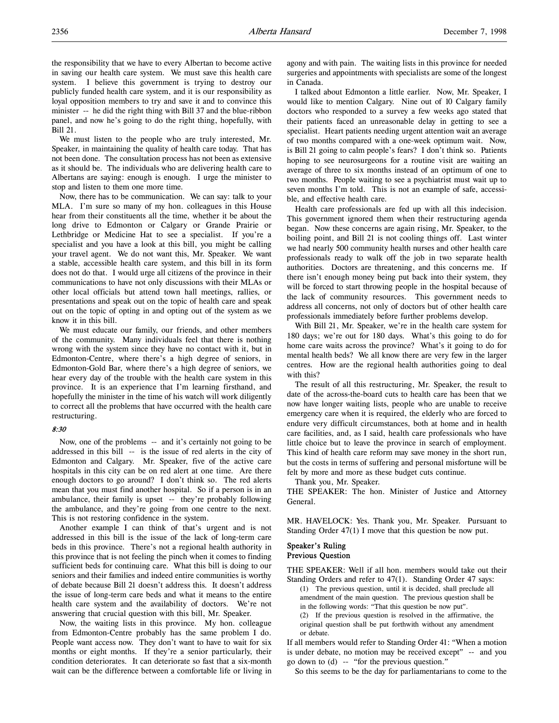the responsibility that we have to every Albertan to become active in saving our health care system. We must save this health care system. I believe this government is trying to destroy our publicly funded health care system, and it is our responsibility as loyal opposition members to try and save it and to convince this minister -- he did the right thing with Bill 37 and the blue-ribbon panel, and now he's going to do the right thing, hopefully, with Bill 21.

We must listen to the people who are truly interested, Mr. Speaker, in maintaining the quality of health care today. That has not been done. The consultation process has not been as extensive as it should be. The individuals who are delivering health care to Albertans are saying: enough is enough. I urge the minister to stop and listen to them one more time.

Now, there has to be communication. We can say: talk to your MLA. I'm sure so many of my hon. colleagues in this House hear from their constituents all the time, whether it be about the long drive to Edmonton or Calgary or Grande Prairie or Lethbridge or Medicine Hat to see a specialist. If you're a specialist and you have a look at this bill, you might be calling your travel agent. We do not want this, Mr. Speaker. We want a stable, accessible health care system, and this bill in its form does not do that. I would urge all citizens of the province in their communications to have not only discussions with their MLAs or other local officials but attend town hall meetings, rallies, or presentations and speak out on the topic of health care and speak out on the topic of opting in and opting out of the system as we know it in this bill.

We must educate our family, our friends, and other members of the community. Many individuals feel that there is nothing wrong with the system since they have no contact with it, but in Edmonton-Centre, where there's a high degree of seniors, in Edmonton-Gold Bar, where there's a high degree of seniors, we hear every day of the trouble with the health care system in this province. It is an experience that I'm learning firsthand, and hopefully the minister in the time of his watch will work diligently to correct all the problems that have occurred with the health care restructuring.

## 8:30

Now, one of the problems -- and it's certainly not going to be addressed in this bill -- is the issue of red alerts in the city of Edmonton and Calgary. Mr. Speaker, five of the active care hospitals in this city can be on red alert at one time. Are there enough doctors to go around? I don't think so. The red alerts mean that you must find another hospital. So if a person is in an ambulance, their family is upset -- they're probably following the ambulance, and they're going from one centre to the next. This is not restoring confidence in the system.

Another example I can think of that's urgent and is not addressed in this bill is the issue of the lack of long-term care beds in this province. There's not a regional health authority in this province that is not feeling the pinch when it comes to finding sufficient beds for continuing care. What this bill is doing to our seniors and their families and indeed entire communities is worthy of debate because Bill 21 doesn't address this. It doesn't address the issue of long-term care beds and what it means to the entire health care system and the availability of doctors. We're not answering that crucial question with this bill, Mr. Speaker.

Now, the waiting lists in this province. My hon. colleague from Edmonton-Centre probably has the same problem I do. People want access now. They don't want to have to wait for six months or eight months. If they're a senior particularly, their condition deteriorates. It can deteriorate so fast that a six-month wait can be the difference between a comfortable life or living in

agony and with pain. The waiting lists in this province for needed surgeries and appointments with specialists are some of the longest in Canada.

I talked about Edmonton a little earlier. Now, Mr. Speaker, I would like to mention Calgary. Nine out of 10 Calgary family doctors who responded to a survey a few weeks ago stated that their patients faced an unreasonable delay in getting to see a specialist. Heart patients needing urgent attention wait an average of two months compared with a one-week optimum wait. Now, is Bill 21 going to calm people's fears? I don't think so. Patients hoping to see neurosurgeons for a routine visit are waiting an average of three to six months instead of an optimum of one to two months. People waiting to see a psychiatrist must wait up to seven months I'm told. This is not an example of safe, accessible, and effective health care.

Health care professionals are fed up with all this indecision. This government ignored them when their restructuring agenda began. Now these concerns are again rising, Mr. Speaker, to the boiling point, and Bill 21 is not cooling things off. Last winter we had nearly 500 community health nurses and other health care professionals ready to walk off the job in two separate health authorities. Doctors are threatening, and this concerns me. If there isn't enough money being put back into their system, they will be forced to start throwing people in the hospital because of the lack of community resources. This government needs to address all concerns, not only of doctors but of other health care professionals immediately before further problems develop.

With Bill 21, Mr. Speaker, we're in the health care system for 180 days; we're out for 180 days. What's this going to do for home care waits across the province? What's it going to do for mental health beds? We all know there are very few in the larger centres. How are the regional health authorities going to deal with this?

The result of all this restructuring, Mr. Speaker, the result to date of the across-the-board cuts to health care has been that we now have longer waiting lists, people who are unable to receive emergency care when it is required, the elderly who are forced to endure very difficult circumstances, both at home and in health care facilities, and, as I said, health care professionals who have little choice but to leave the province in search of employment. This kind of health care reform may save money in the short run, but the costs in terms of suffering and personal misfortune will be felt by more and more as these budget cuts continue.

Thank you, Mr. Speaker.

THE SPEAKER: The hon. Minister of Justice and Attorney General.

MR. HAVELOCK: Yes. Thank you, Mr. Speaker. Pursuant to Standing Order 47(1) I move that this question be now put.

# Speaker's Ruling Previous Question

THE SPEAKER: Well if all hon. members would take out their Standing Orders and refer to 47(1). Standing Order 47 says:

(1) The previous question, until it is decided, shall preclude all amendment of the main question. The previous question shall be in the following words: "That this question be now put".

(2) If the previous question is resolved in the affirmative, the original question shall be put forthwith without any amendment or debate.

If all members would refer to Standing Order 41: "When a motion is under debate, no motion may be received except" -- and you go down to (d) -- "for the previous question."

So this seems to be the day for parliamentarians to come to the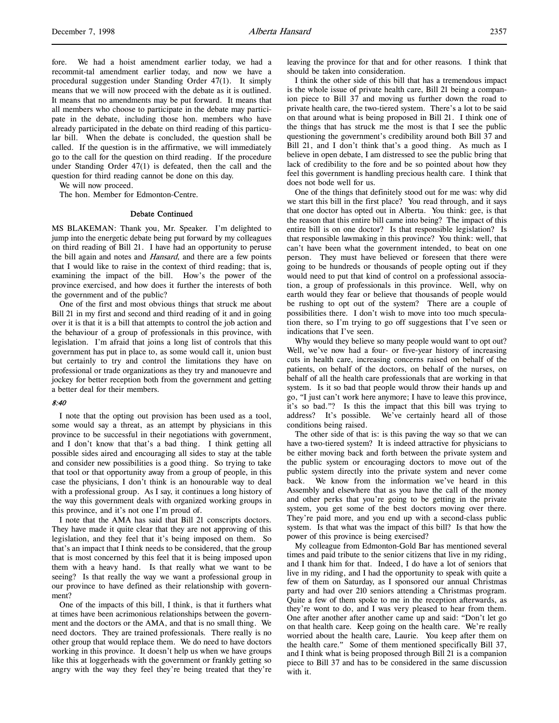fore. We had a hoist amendment earlier today, we had a recommit-tal amendment earlier today, and now we have a procedural suggestion under Standing Order 47(1). It simply means that we will now proceed with the debate as it is outlined. It means that no amendments may be put forward. It means that all members who choose to participate in the debate may participate in the debate, including those hon. members who have already participated in the debate on third reading of this particular bill. When the debate is concluded, the question shall be called. If the question is in the affirmative, we will immediately go to the call for the question on third reading. If the procedure under Standing Order 47(1) is defeated, then the call and the question for third reading cannot be done on this day.

We will now proceed.

The hon. Member for Edmonton-Centre.

#### Debate Continued

MS BLAKEMAN: Thank you, Mr. Speaker. I'm delighted to jump into the energetic debate being put forward by my colleagues on third reading of Bill 21. I have had an opportunity to peruse the bill again and notes and *Hansard*, and there are a few points that I would like to raise in the context of third reading; that is, examining the impact of the bill. How's the power of the province exercised, and how does it further the interests of both the government and of the public?

One of the first and most obvious things that struck me about Bill 21 in my first and second and third reading of it and in going over it is that it is a bill that attempts to control the job action and the behaviour of a group of professionals in this province, with legislation. I'm afraid that joins a long list of controls that this government has put in place to, as some would call it, union bust but certainly to try and control the limitations they have on professional or trade organizations as they try and manouevre and jockey for better reception both from the government and getting a better deal for their members.

## 8:40

I note that the opting out provision has been used as a tool, some would say a threat, as an attempt by physicians in this province to be successful in their negotiations with government, and I don't know that that's a bad thing. I think getting all possible sides aired and encouraging all sides to stay at the table and consider new possibilities is a good thing. So trying to take that tool or that opportunity away from a group of people, in this case the physicians, I don't think is an honourable way to deal with a professional group. As I say, it continues a long history of the way this government deals with organized working groups in this province, and it's not one I'm proud of.

I note that the AMA has said that Bill 21 conscripts doctors. They have made it quite clear that they are not approving of this legislation, and they feel that it's being imposed on them. So that's an impact that I think needs to be considered, that the group that is most concerned by this feel that it is being imposed upon them with a heavy hand. Is that really what we want to be seeing? Is that really the way we want a professional group in our province to have defined as their relationship with government?

One of the impacts of this bill, I think, is that it furthers what at times have been acrimonious relationships between the government and the doctors or the AMA, and that is no small thing. We need doctors. They are trained professionals. There really is no other group that would replace them. We do need to have doctors working in this province. It doesn't help us when we have groups like this at loggerheads with the government or frankly getting so angry with the way they feel they're being treated that they're

leaving the province for that and for other reasons. I think that should be taken into consideration.

I think the other side of this bill that has a tremendous impact is the whole issue of private health care, Bill 21 being a companion piece to Bill 37 and moving us further down the road to private health care, the two-tiered system. There's a lot to be said on that around what is being proposed in Bill 21. I think one of the things that has struck me the most is that I see the public questioning the government's credibility around both Bill 37 and Bill 21, and I don't think that's a good thing. As much as I believe in open debate, I am distressed to see the public bring that lack of credibility to the fore and be so pointed about how they feel this government is handling precious health care. I think that does not bode well for us.

One of the things that definitely stood out for me was: why did we start this bill in the first place? You read through, and it says that one doctor has opted out in Alberta. You think: gee, is that the reason that this entire bill came into being? The impact of this entire bill is on one doctor? Is that responsible legislation? Is that responsible lawmaking in this province? You think: well, that can't have been what the government intended, to beat on one person. They must have believed or foreseen that there were going to be hundreds or thousands of people opting out if they would need to put that kind of control on a professional association, a group of professionals in this province. Well, why on earth would they fear or believe that thousands of people would be rushing to opt out of the system? There are a couple of possibilities there. I don't wish to move into too much speculation there, so I'm trying to go off suggestions that I've seen or indications that I've seen.

Why would they believe so many people would want to opt out? Well, we've now had a four- or five-year history of increasing cuts in health care, increasing concerns raised on behalf of the patients, on behalf of the doctors, on behalf of the nurses, on behalf of all the health care professionals that are working in that system. Is it so bad that people would throw their hands up and go, "I just can't work here anymore; I have to leave this province, it's so bad."? Is this the impact that this bill was trying to address? It's possible. We've certainly heard all of those conditions being raised.

The other side of that is: is this paving the way so that we can have a two-tiered system? It is indeed attractive for physicians to be either moving back and forth between the private system and the public system or encouraging doctors to move out of the public system directly into the private system and never come back. We know from the information we've heard in this Assembly and elsewhere that as you have the call of the money and other perks that you're going to be getting in the private system, you get some of the best doctors moving over there. They're paid more, and you end up with a second-class public system. Is that what was the impact of this bill? Is that how the power of this province is being exercised?

My colleague from Edmonton-Gold Bar has mentioned several times and paid tribute to the senior citizens that live in my riding, and I thank him for that. Indeed, I do have a lot of seniors that live in my riding, and I had the opportunity to speak with quite a few of them on Saturday, as I sponsored our annual Christmas party and had over 210 seniors attending a Christmas program. Quite a few of them spoke to me in the reception afterwards, as they're wont to do, and I was very pleased to hear from them. One after another after another came up and said: "Don't let go on that health care. Keep going on the health care. We're really worried about the health care, Laurie. You keep after them on the health care." Some of them mentioned specifically Bill 37, and I think what is being proposed through Bill 21 is a companion piece to Bill 37 and has to be considered in the same discussion with it.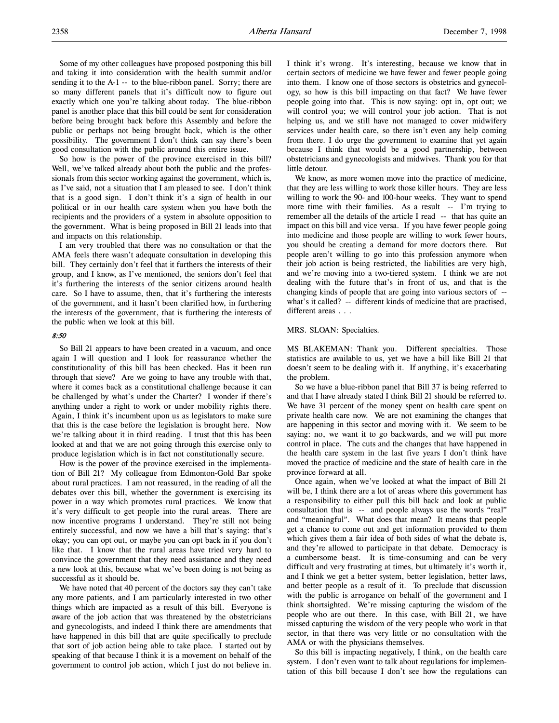Some of my other colleagues have proposed postponing this bill and taking it into consideration with the health summit and/or sending it to the A-1 -- to the blue-ribbon panel. Sorry; there are so many different panels that it's difficult now to figure out exactly which one you're talking about today. The blue-ribbon panel is another place that this bill could be sent for consideration before being brought back before this Assembly and before the public or perhaps not being brought back, which is the other possibility. The government I don't think can say there's been good consultation with the public around this entire issue.

So how is the power of the province exercised in this bill? Well, we've talked already about both the public and the professionals from this sector working against the government, which is, as I've said, not a situation that I am pleased to see. I don't think that is a good sign. I don't think it's a sign of health in our political or in our health care system when you have both the recipients and the providers of a system in absolute opposition to the government. What is being proposed in Bill 21 leads into that and impacts on this relationship.

I am very troubled that there was no consultation or that the AMA feels there wasn't adequate consultation in developing this bill. They certainly don't feel that it furthers the interests of their group, and I know, as I've mentioned, the seniors don't feel that it's furthering the interests of the senior citizens around health care. So I have to assume, then, that it's furthering the interests of the government, and it hasn't been clarified how, in furthering the interests of the government, that is furthering the interests of the public when we look at this bill.

#### 8:50

So Bill 21 appears to have been created in a vacuum, and once again I will question and I look for reassurance whether the constitutionality of this bill has been checked. Has it been run through that sieve? Are we going to have any trouble with that, where it comes back as a constitutional challenge because it can be challenged by what's under the Charter? I wonder if there's anything under a right to work or under mobility rights there. Again, I think it's incumbent upon us as legislators to make sure that this is the case before the legislation is brought here. Now we're talking about it in third reading. I trust that this has been looked at and that we are not going through this exercise only to produce legislation which is in fact not constitutionally secure.

How is the power of the province exercised in the implementation of Bill 21? My colleague from Edmonton-Gold Bar spoke about rural practices. I am not reassured, in the reading of all the debates over this bill, whether the government is exercising its power in a way which promotes rural practices. We know that it's very difficult to get people into the rural areas. There are now incentive programs I understand. They're still not being entirely successful, and now we have a bill that's saying: that's okay; you can opt out, or maybe you can opt back in if you don't like that. I know that the rural areas have tried very hard to convince the government that they need assistance and they need a new look at this, because what we've been doing is not being as successful as it should be.

We have noted that 40 percent of the doctors say they can't take any more patients, and I am particularly interested in two other things which are impacted as a result of this bill. Everyone is aware of the job action that was threatened by the obstetricians and gynecologists, and indeed I think there are amendments that have happened in this bill that are quite specifically to preclude that sort of job action being able to take place. I started out by speaking of that because I think it is a movement on behalf of the government to control job action, which I just do not believe in.

I think it's wrong. It's interesting, because we know that in certain sectors of medicine we have fewer and fewer people going into them. I know one of those sectors is obstetrics and gynecology, so how is this bill impacting on that fact? We have fewer people going into that. This is now saying: opt in, opt out; we will control you; we will control your job action. That is not helping us, and we still have not managed to cover midwifery services under health care, so there isn't even any help coming from there. I do urge the government to examine that yet again because I think that would be a good partnership, between obstetricians and gynecologists and midwives. Thank you for that little detour.

We know, as more women move into the practice of medicine, that they are less willing to work those killer hours. They are less willing to work the 90- and 100-hour weeks. They want to spend more time with their families. As a result -- I'm trying to remember all the details of the article I read -- that has quite an impact on this bill and vice versa. If you have fewer people going into medicine and those people are willing to work fewer hours, you should be creating a demand for more doctors there. But people aren't willing to go into this profession anymore when their job action is being restricted, the liabilities are very high, and we're moving into a two-tiered system. I think we are not dealing with the future that's in front of us, and that is the changing kinds of people that are going into various sectors of - what's it called? -- different kinds of medicine that are practised, different areas . . .

#### MRS. SLOAN: Specialties.

MS BLAKEMAN: Thank you. Different specialties. Those statistics are available to us, yet we have a bill like Bill 21 that doesn't seem to be dealing with it. If anything, it's exacerbating the problem.

So we have a blue-ribbon panel that Bill 37 is being referred to and that I have already stated I think Bill 21 should be referred to. We have 31 percent of the money spent on health care spent on private health care now. We are not examining the changes that are happening in this sector and moving with it. We seem to be saying: no, we want it to go backwards, and we will put more control in place. The cuts and the changes that have happened in the health care system in the last five years I don't think have moved the practice of medicine and the state of health care in the province forward at all.

Once again, when we've looked at what the impact of Bill 21 will be, I think there are a lot of areas where this government has a responsibility to either pull this bill back and look at public consultation that is -- and people always use the words "real" and "meaningful". What does that mean? It means that people get a chance to come out and get information provided to them which gives them a fair idea of both sides of what the debate is, and they're allowed to participate in that debate. Democracy is a cumbersome beast. It is time-consuming and can be very difficult and very frustrating at times, but ultimately it's worth it, and I think we get a better system, better legislation, better laws, and better people as a result of it. To preclude that discussion with the public is arrogance on behalf of the government and I think shortsighted. We're missing capturing the wisdom of the people who are out there. In this case, with Bill 21, we have missed capturing the wisdom of the very people who work in that sector, in that there was very little or no consultation with the AMA or with the physicians themselves.

So this bill is impacting negatively, I think, on the health care system. I don't even want to talk about regulations for implementation of this bill because I don't see how the regulations can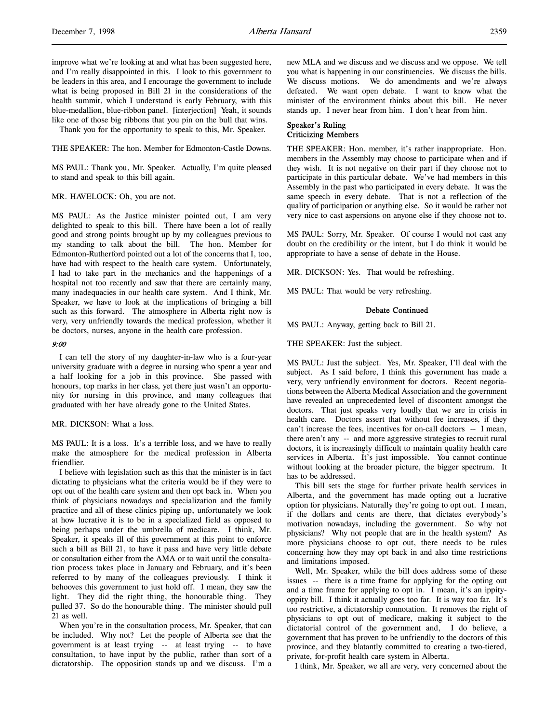improve what we're looking at and what has been suggested here, and I'm really disappointed in this. I look to this government to be leaders in this area, and I encourage the government to include what is being proposed in Bill 21 in the considerations of the health summit, which I understand is early February, with this blue-medallion, blue-ribbon panel. [interjection] Yeah, it sounds like one of those big ribbons that you pin on the bull that wins.

Thank you for the opportunity to speak to this, Mr. Speaker.

THE SPEAKER: The hon. Member for Edmonton-Castle Downs.

MS PAUL: Thank you, Mr. Speaker. Actually, I'm quite pleased to stand and speak to this bill again.

### MR. HAVELOCK: Oh, you are not.

MS PAUL: As the Justice minister pointed out, I am very delighted to speak to this bill. There have been a lot of really good and strong points brought up by my colleagues previous to my standing to talk about the bill. The hon. Member for Edmonton-Rutherford pointed out a lot of the concerns that I, too, have had with respect to the health care system. Unfortunately, I had to take part in the mechanics and the happenings of a hospital not too recently and saw that there are certainly many, many inadequacies in our health care system. And I think, Mr. Speaker, we have to look at the implications of bringing a bill such as this forward. The atmosphere in Alberta right now is very, very unfriendly towards the medical profession, whether it be doctors, nurses, anyone in the health care profession.

#### 9:00

I can tell the story of my daughter-in-law who is a four-year university graduate with a degree in nursing who spent a year and a half looking for a job in this province. She passed with honours, top marks in her class, yet there just wasn't an opportunity for nursing in this province, and many colleagues that graduated with her have already gone to the United States.

# MR. DICKSON: What a loss.

MS PAUL: It is a loss. It's a terrible loss, and we have to really make the atmosphere for the medical profession in Alberta friendlier.

I believe with legislation such as this that the minister is in fact dictating to physicians what the criteria would be if they were to opt out of the health care system and then opt back in. When you think of physicians nowadays and specialization and the family practice and all of these clinics piping up, unfortunately we look at how lucrative it is to be in a specialized field as opposed to being perhaps under the umbrella of medicare. I think, Mr. Speaker, it speaks ill of this government at this point to enforce such a bill as Bill 21, to have it pass and have very little debate or consultation either from the AMA or to wait until the consultation process takes place in January and February, and it's been referred to by many of the colleagues previously. I think it behooves this government to just hold off. I mean, they saw the light. They did the right thing, the honourable thing. They pulled 37. So do the honourable thing. The minister should pull 21 as well.

When you're in the consultation process, Mr. Speaker, that can be included. Why not? Let the people of Alberta see that the government is at least trying -- at least trying -- to have consultation, to have input by the public, rather than sort of a dictatorship. The opposition stands up and we discuss. I'm a

new MLA and we discuss and we discuss and we oppose. We tell you what is happening in our constituencies. We discuss the bills. We discuss motions. We do amendments and we're always defeated. We want open debate. I want to know what the minister of the environment thinks about this bill. He never stands up. I never hear from him. I don't hear from him.

# Speaker's Ruling Criticizing Members

THE SPEAKER: Hon. member, it's rather inappropriate. Hon. members in the Assembly may choose to participate when and if they wish. It is not negative on their part if they choose not to participate in this particular debate. We've had members in this Assembly in the past who participated in every debate. It was the same speech in every debate. That is not a reflection of the quality of participation or anything else. So it would be rather not very nice to cast aspersions on anyone else if they choose not to.

MS PAUL: Sorry, Mr. Speaker. Of course I would not cast any doubt on the credibility or the intent, but I do think it would be appropriate to have a sense of debate in the House.

MR. DICKSON: Yes. That would be refreshing.

MS PAUL: That would be very refreshing.

#### Debate Continued

MS PAUL: Anyway, getting back to Bill 21.

THE SPEAKER: Just the subject.

MS PAUL: Just the subject. Yes, Mr. Speaker, I'll deal with the subject. As I said before, I think this government has made a very, very unfriendly environment for doctors. Recent negotiations between the Alberta Medical Association and the government have revealed an unprecedented level of discontent amongst the doctors. That just speaks very loudly that we are in crisis in health care. Doctors assert that without fee increases, if they can't increase the fees, incentives for on-call doctors -- I mean, there aren't any -- and more aggressive strategies to recruit rural doctors, it is increasingly difficult to maintain quality health care services in Alberta. It's just impossible. You cannot continue without looking at the broader picture, the bigger spectrum. It has to be addressed.

This bill sets the stage for further private health services in Alberta, and the government has made opting out a lucrative option for physicians. Naturally they're going to opt out. I mean, if the dollars and cents are there, that dictates everybody's motivation nowadays, including the government. So why not physicians? Why not people that are in the health system? As more physicians choose to opt out, there needs to be rules concerning how they may opt back in and also time restrictions and limitations imposed.

Well, Mr. Speaker, while the bill does address some of these issues -- there is a time frame for applying for the opting out and a time frame for applying to opt in. I mean, it's an ippityoppity bill. I think it actually goes too far. It is way too far. It's too restrictive, a dictatorship connotation. It removes the right of physicians to opt out of medicare, making it subject to the dictatorial control of the government and, I do believe, a government that has proven to be unfriendly to the doctors of this province, and they blatantly committed to creating a two-tiered, private, for-profit health care system in Alberta.

I think, Mr. Speaker, we all are very, very concerned about the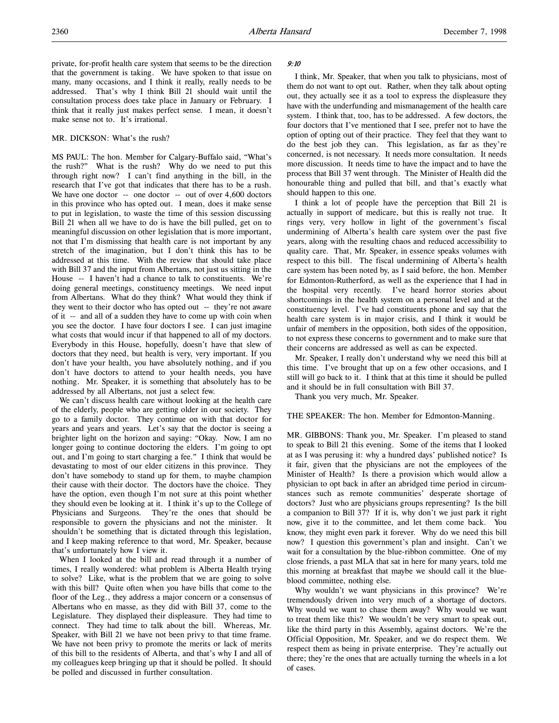private, for-profit health care system that seems to be the direction that the government is taking. We have spoken to that issue on many, many occasions, and I think it really, really needs to be addressed. That's why I think Bill 21 should wait until the consultation process does take place in January or February. I think that it really just makes perfect sense. I mean, it doesn't make sense not to. It's irrational.

## MR. DICKSON: What's the rush?

MS PAUL: The hon. Member for Calgary-Buffalo said, "What's the rush?" What is the rush? Why do we need to put this through right now? I can't find anything in the bill, in the research that I've got that indicates that there has to be a rush. We have one doctor -- one doctor -- out of over 4,600 doctors in this province who has opted out. I mean, does it make sense to put in legislation, to waste the time of this session discussing Bill 21 when all we have to do is have the bill pulled, get on to meaningful discussion on other legislation that is more important, not that I'm dismissing that health care is not important by any stretch of the imagination, but I don't think this has to be addressed at this time. With the review that should take place with Bill 37 and the input from Albertans, not just us sitting in the House -- I haven't had a chance to talk to constituents. We're doing general meetings, constituency meetings. We need input from Albertans. What do they think? What would they think if they went to their doctor who has opted out -- they're not aware of it -- and all of a sudden they have to come up with coin when you see the doctor. I have four doctors I see. I can just imagine what costs that would incur if that happened to all of my doctors. Everybody in this House, hopefully, doesn't have that slew of doctors that they need, but health is very, very important. If you don't have your health, you have absolutely nothing, and if you don't have doctors to attend to your health needs, you have nothing. Mr. Speaker, it is something that absolutely has to be addressed by all Albertans, not just a select few.

We can't discuss health care without looking at the health care of the elderly, people who are getting older in our society. They go to a family doctor. They continue on with that doctor for years and years and years. Let's say that the doctor is seeing a brighter light on the horizon and saying: "Okay. Now, I am no longer going to continue doctoring the elders. I'm going to opt out, and I'm going to start charging a fee." I think that would be devastating to most of our elder citizens in this province. They don't have somebody to stand up for them, to maybe champion their cause with their doctor. The doctors have the choice. They have the option, even though I'm not sure at this point whether they should even be looking at it. I think it's up to the College of Physicians and Surgeons. They're the ones that should be responsible to govern the physicians and not the minister. It shouldn't be something that is dictated through this legislation, and I keep making reference to that word, Mr. Speaker, because that's unfortunately how I view it.

When I looked at the bill and read through it a number of times, I really wondered: what problem is Alberta Health trying to solve? Like, what is the problem that we are going to solve with this bill? Quite often when you have bills that come to the floor of the Leg., they address a major concern or a consensus of Albertans who en masse, as they did with Bill 37, come to the Legislature. They displayed their displeasure. They had time to connect. They had time to talk about the bill. Whereas, Mr. Speaker, with Bill 21 we have not been privy to that time frame. We have not been privy to promote the merits or lack of merits of this bill to the residents of Alberta, and that's why I and all of my colleagues keep bringing up that it should be polled. It should be polled and discussed in further consultation.

### 9:10

I think, Mr. Speaker, that when you talk to physicians, most of them do not want to opt out. Rather, when they talk about opting out, they actually see it as a tool to express the displeasure they have with the underfunding and mismanagement of the health care system. I think that, too, has to be addressed. A few doctors, the four doctors that I've mentioned that I see, prefer not to have the option of opting out of their practice. They feel that they want to do the best job they can. This legislation, as far as they're concerned, is not necessary. It needs more consultation. It needs more discussion. It needs time to have the impact and to have the process that Bill 37 went through. The Minister of Health did the honourable thing and pulled that bill, and that's exactly what should happen to this one.

I think a lot of people have the perception that Bill 21 is actually in support of medicare, but this is really not true. It rings very, very hollow in light of the government's fiscal undermining of Alberta's health care system over the past five years, along with the resulting chaos and reduced accessibility to quality care. That, Mr. Speaker, in essence speaks volumes with respect to this bill. The fiscal undermining of Alberta's health care system has been noted by, as I said before, the hon. Member for Edmonton-Rutherford, as well as the experience that I had in the hospital very recently. I've heard horror stories about shortcomings in the health system on a personal level and at the constituency level. I've had constituents phone and say that the health care system is in major crisis, and I think it would be unfair of members in the opposition, both sides of the opposition, to not express these concerns to government and to make sure that their concerns are addressed as well as can be expected.

Mr. Speaker, I really don't understand why we need this bill at this time. I've brought that up on a few other occasions, and I still will go back to it. I think that at this time it should be pulled and it should be in full consultation with Bill 37.

Thank you very much, Mr. Speaker.

THE SPEAKER: The hon. Member for Edmonton-Manning.

MR. GIBBONS: Thank you, Mr. Speaker. I'm pleased to stand to speak to Bill 21 this evening. Some of the items that I looked at as I was perusing it: why a hundred days' published notice? Is it fair, given that the physicians are not the employees of the Minister of Health? Is there a provision which would allow a physician to opt back in after an abridged time period in circumstances such as remote communities' desperate shortage of doctors? Just who are physicians groups representing? Is the bill a companion to Bill 37? If it is, why don't we just park it right now, give it to the committee, and let them come back. You know, they might even park it forever. Why do we need this bill now? I question this government's plan and insight. Can't we wait for a consultation by the blue-ribbon committee. One of my close friends, a past MLA that sat in here for many years, told me this morning at breakfast that maybe we should call it the blueblood committee, nothing else.

Why wouldn't we want physicians in this province? We're tremendously driven into very much of a shortage of doctors. Why would we want to chase them away? Why would we want to treat them like this? We wouldn't be very smart to speak out, like the third party in this Assembly, against doctors. We're the Official Opposition, Mr. Speaker, and we do respect them. We respect them as being in private enterprise. They're actually out there; they're the ones that are actually turning the wheels in a lot of cases.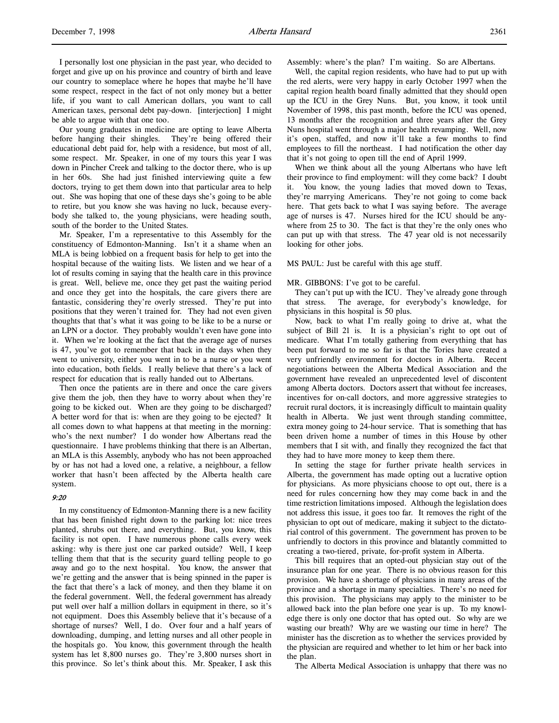I personally lost one physician in the past year, who decided to forget and give up on his province and country of birth and leave our country to someplace where he hopes that maybe he'll have some respect, respect in the fact of not only money but a better life, if you want to call American dollars, you want to call American taxes, personal debt pay-down. [interjection] I might be able to argue with that one too.

Our young graduates in medicine are opting to leave Alberta before hanging their shingles. They're being offered their educational debt paid for, help with a residence, but most of all, some respect. Mr. Speaker, in one of my tours this year I was down in Pincher Creek and talking to the doctor there, who is up in her 60s. She had just finished interviewing quite a few doctors, trying to get them down into that particular area to help out. She was hoping that one of these days she's going to be able to retire, but you know she was having no luck, because everybody she talked to, the young physicians, were heading south, south of the border to the United States.

Mr. Speaker, I'm a representative to this Assembly for the constituency of Edmonton-Manning. Isn't it a shame when an MLA is being lobbied on a frequent basis for help to get into the hospital because of the waiting lists. We listen and we hear of a lot of results coming in saying that the health care in this province is great. Well, believe me, once they get past the waiting period and once they get into the hospitals, the care givers there are fantastic, considering they're overly stressed. They're put into positions that they weren't trained for. They had not even given thoughts that that's what it was going to be like to be a nurse or an LPN or a doctor. They probably wouldn't even have gone into it. When we're looking at the fact that the average age of nurses is 47, you've got to remember that back in the days when they went to university, either you went in to be a nurse or you went into education, both fields. I really believe that there's a lack of respect for education that is really handed out to Albertans.

Then once the patients are in there and once the care givers give them the job, then they have to worry about when they're going to be kicked out. When are they going to be discharged? A better word for that is: when are they going to be ejected? It all comes down to what happens at that meeting in the morning: who's the next number? I do wonder how Albertans read the questionnaire. I have problems thinking that there is an Albertan, an MLA is this Assembly, anybody who has not been approached by or has not had a loved one, a relative, a neighbour, a fellow worker that hasn't been affected by the Alberta health care system.

# 9:20

In my constituency of Edmonton-Manning there is a new facility that has been finished right down to the parking lot: nice trees planted, shrubs out there, and everything. But, you know, this facility is not open. I have numerous phone calls every week asking: why is there just one car parked outside? Well, I keep telling them that that is the security guard telling people to go away and go to the next hospital. You know, the answer that we're getting and the answer that is being spinned in the paper is the fact that there's a lack of money, and then they blame it on the federal government. Well, the federal government has already put well over half a million dollars in equipment in there, so it's not equipment. Does this Assembly believe that it's because of a shortage of nurses? Well, I do. Over four and a half years of downloading, dumping, and letting nurses and all other people in the hospitals go. You know, this government through the health system has let 8,800 nurses go. They're 3,800 nurses short in this province. So let's think about this. Mr. Speaker, I ask this

Assembly: where's the plan? I'm waiting. So are Albertans.

Well, the capital region residents, who have had to put up with the red alerts, were very happy in early October 1997 when the capital region health board finally admitted that they should open up the ICU in the Grey Nuns. But, you know, it took until November of 1998, this past month, before the ICU was opened, 13 months after the recognition and three years after the Grey Nuns hospital went through a major health revamping. Well, now it's open, staffed, and now it'll take a few months to find employees to fill the northeast. I had notification the other day that it's not going to open till the end of April 1999.

When we think about all the young Albertans who have left their province to find employment: will they come back? I doubt it. You know, the young ladies that moved down to Texas, they're marrying Americans. They're not going to come back here. That gets back to what I was saying before. The average age of nurses is 47. Nurses hired for the ICU should be anywhere from 25 to 30. The fact is that they're the only ones who can put up with that stress. The 47 year old is not necessarily looking for other jobs.

MS PAUL: Just be careful with this age stuff.

### MR. GIBBONS: I've got to be careful.

They can't put up with the ICU. They've already gone through that stress. The average, for everybody's knowledge, for physicians in this hospital is 50 plus.

Now, back to what I'm really going to drive at, what the subject of Bill 21 is. It is a physician's right to opt out of medicare. What I'm totally gathering from everything that has been put forward to me so far is that the Tories have created a very unfriendly environment for doctors in Alberta. Recent negotiations between the Alberta Medical Association and the government have revealed an unprecedented level of discontent among Alberta doctors. Doctors assert that without fee increases, incentives for on-call doctors, and more aggressive strategies to recruit rural doctors, it is increasingly difficult to maintain quality health in Alberta. We just went through standing committee, extra money going to 24-hour service. That is something that has been driven home a number of times in this House by other members that I sit with, and finally they recognized the fact that they had to have more money to keep them there.

In setting the stage for further private health services in Alberta, the government has made opting out a lucrative option for physicians. As more physicians choose to opt out, there is a need for rules concerning how they may come back in and the time restriction limitations imposed. Although the legislation does not address this issue, it goes too far. It removes the right of the physician to opt out of medicare, making it subject to the dictatorial control of this government. The government has proven to be unfriendly to doctors in this province and blatantly committed to creating a two-tiered, private, for-profit system in Alberta.

This bill requires that an opted-out physician stay out of the insurance plan for one year. There is no obvious reason for this provision. We have a shortage of physicians in many areas of the province and a shortage in many specialties. There's no need for this provision. The physicians may apply to the minister to be allowed back into the plan before one year is up. To my knowledge there is only one doctor that has opted out. So why are we wasting our breath? Why are we wasting our time in here? The minister has the discretion as to whether the services provided by the physician are required and whether to let him or her back into the plan.

The Alberta Medical Association is unhappy that there was no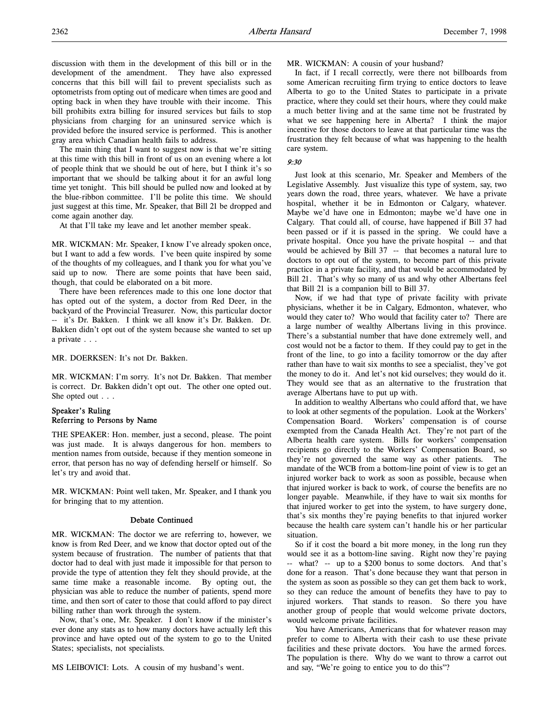discussion with them in the development of this bill or in the development of the amendment. They have also expressed concerns that this bill will fail to prevent specialists such as optometrists from opting out of medicare when times are good and opting back in when they have trouble with their income. This bill prohibits extra billing for insured services but fails to stop physicians from charging for an uninsured service which is provided before the insured service is performed. This is another gray area which Canadian health fails to address.

The main thing that I want to suggest now is that we're sitting at this time with this bill in front of us on an evening where a lot of people think that we should be out of here, but I think it's so important that we should be talking about it for an awful long time yet tonight. This bill should be pulled now and looked at by the blue-ribbon committee. I'll be polite this time. We should just suggest at this time, Mr. Speaker, that Bill 21 be dropped and come again another day.

At that I'll take my leave and let another member speak.

MR. WICKMAN: Mr. Speaker, I know I've already spoken once, but I want to add a few words. I've been quite inspired by some of the thoughts of my colleagues, and I thank you for what you've said up to now. There are some points that have been said, though, that could be elaborated on a bit more.

There have been references made to this one lone doctor that has opted out of the system, a doctor from Red Deer, in the backyard of the Provincial Treasurer. Now, this particular doctor -- it's Dr. Bakken. I think we all know it's Dr. Bakken. Dr. Bakken didn't opt out of the system because she wanted to set up a private . . .

#### MR. DOERKSEN: It's not Dr. Bakken.

MR. WICKMAN: I'm sorry. It's not Dr. Bakken. That member is correct. Dr. Bakken didn't opt out. The other one opted out. She opted out . . .

# Speaker's Ruling Referring to Persons by Name

THE SPEAKER: Hon. member, just a second, please. The point was just made. It is always dangerous for hon. members to mention names from outside, because if they mention someone in error, that person has no way of defending herself or himself. So let's try and avoid that.

MR. WICKMAN: Point well taken, Mr. Speaker, and I thank you for bringing that to my attention.

#### Debate Continued

MR. WICKMAN: The doctor we are referring to, however, we know is from Red Deer, and we know that doctor opted out of the system because of frustration. The number of patients that that doctor had to deal with just made it impossible for that person to provide the type of attention they felt they should provide, at the same time make a reasonable income. By opting out, the physician was able to reduce the number of patients, spend more time, and then sort of cater to those that could afford to pay direct billing rather than work through the system.

Now, that's one, Mr. Speaker. I don't know if the minister's ever done any stats as to how many doctors have actually left this province and have opted out of the system to go to the United States; specialists, not specialists.

MS LEIBOVICI: Lots. A cousin of my husband's went.

#### MR. WICKMAN: A cousin of your husband?

In fact, if I recall correctly, were there not billboards from some American recruiting firm trying to entice doctors to leave Alberta to go to the United States to participate in a private practice, where they could set their hours, where they could make a much better living and at the same time not be frustrated by what we see happening here in Alberta? I think the major incentive for those doctors to leave at that particular time was the frustration they felt because of what was happening to the health care system.

## 9:30

Just look at this scenario, Mr. Speaker and Members of the Legislative Assembly. Just visualize this type of system, say, two years down the road, three years, whatever. We have a private hospital, whether it be in Edmonton or Calgary, whatever. Maybe we'd have one in Edmonton; maybe we'd have one in Calgary. That could all, of course, have happened if Bill 37 had been passed or if it is passed in the spring. We could have a private hospital. Once you have the private hospital -- and that would be achieved by Bill 37 -- that becomes a natural lure to doctors to opt out of the system, to become part of this private practice in a private facility, and that would be accommodated by Bill 21. That's why so many of us and why other Albertans feel that Bill 21 is a companion bill to Bill 37.

Now, if we had that type of private facility with private physicians, whether it be in Calgary, Edmonton, whatever, who would they cater to? Who would that facility cater to? There are a large number of wealthy Albertans living in this province. There's a substantial number that have done extremely well, and cost would not be a factor to them. If they could pay to get in the front of the line, to go into a facility tomorrow or the day after rather than have to wait six months to see a specialist, they've got the money to do it. And let's not kid ourselves; they would do it. They would see that as an alternative to the frustration that average Albertans have to put up with.

In addition to wealthy Albertans who could afford that, we have to look at other segments of the population. Look at the Workers' Compensation Board. Workers' compensation is of course exempted from the Canada Health Act. They're not part of the Alberta health care system. Bills for workers' compensation recipients go directly to the Workers' Compensation Board, so they're not governed the same way as other patients. The mandate of the WCB from a bottom-line point of view is to get an injured worker back to work as soon as possible, because when that injured worker is back to work, of course the benefits are no longer payable. Meanwhile, if they have to wait six months for that injured worker to get into the system, to have surgery done, that's six months they're paying benefits to that injured worker because the health care system can't handle his or her particular situation.

So if it cost the board a bit more money, in the long run they would see it as a bottom-line saving. Right now they're paying -- what? -- up to a \$200 bonus to some doctors. And that's done for a reason. That's done because they want that person in the system as soon as possible so they can get them back to work, so they can reduce the amount of benefits they have to pay to injured workers. That stands to reason. So there you have another group of people that would welcome private doctors, would welcome private facilities.

You have Americans, Americans that for whatever reason may prefer to come to Alberta with their cash to use these private facilities and these private doctors. You have the armed forces. The population is there. Why do we want to throw a carrot out and say, "We're going to entice you to do this"?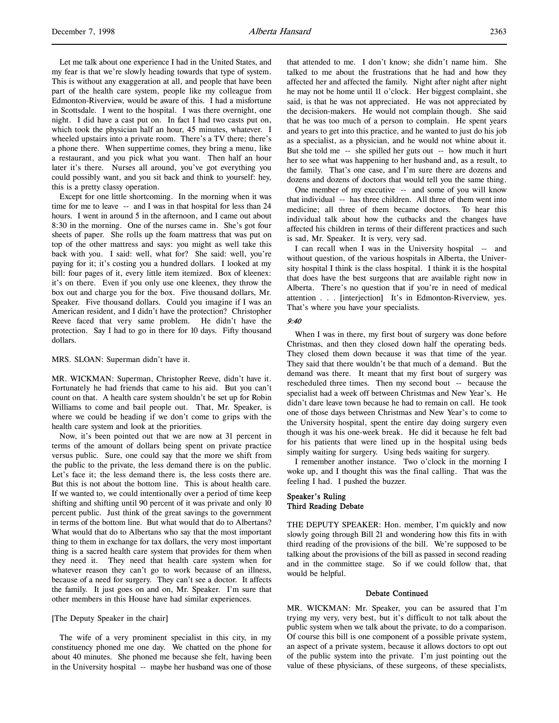Let me talk about one experience I had in the United States, and my fear is that we're slowly heading towards that type of system. This is without any exaggeration at all, and people that have been part of the health care system, people like my colleague from Edmonton-Riverview, would be aware of this. I had a misfortune in Scottsdale. I went to the hospital. I was there overnight, one night. I did have a cast put on. In fact I had two casts put on, which took the physician half an hour, 45 minutes, whatever. I wheeled upstairs into a private room. There's a TV there; there's a phone there. When suppertime comes, they bring a menu, like a restaurant, and you pick what you want. Then half an hour later it's there. Nurses all around, you've got everything you could possibly want, and you sit back and think to yourself: hey, this is a pretty classy operation.

Except for one little shortcoming. In the morning when it was time for me to leave -- and I was in that hospital for less than 24 hours. I went in around 5 in the afternoon, and I came out about 8:30 in the morning. One of the nurses came in. She's got four sheets of paper. She rolls up the foam mattress that was put on top of the other mattress and says: you might as well take this back with you. I said: well, what for? She said: well, you're paying for it; it's costing you a hundred dollars. I looked at my bill: four pages of it, every little item itemized. Box of kleenex: it's on there. Even if you only use one kleenex, they throw the box out and charge you for the box. Five thousand dollars, Mr. Speaker. Five thousand dollars. Could you imagine if I was an American resident, and I didn't have the protection? Christopher Reeve faced that very same problem. He didn't have the protection. Say I had to go in there for 10 days. Fifty thousand dollars.

## MRS. SLOAN: Superman didn't have it.

MR. WICKMAN: Superman, Christopher Reeve, didn't have it. Fortunately he had friends that came to his aid. But you can't count on that. A health care system shouldn't be set up for Robin Williams to come and bail people out. That, Mr. Speaker, is where we could be heading if we don't come to grips with the health care system and look at the priorities.

Now, it's been pointed out that we are now at 31 percent in terms of the amount of dollars being spent on private practice versus public. Sure, one could say that the more we shift from the public to the private, the less demand there is on the public. Let's face it; the less demand there is, the less costs there are. But this is not about the bottom line. This is about health care. If we wanted to, we could intentionally over a period of time keep shifting and shifting until 90 percent of it was private and only 10 percent public. Just think of the great savings to the government in terms of the bottom line. But what would that do to Albertans? What would that do to Albertans who say that the most important thing to them in exchange for tax dollars, the very most important thing is a sacred health care system that provides for them when they need it. They need that health care system when for whatever reason they can't go to work because of an illness, because of a need for surgery. They can't see a doctor. It affects the family. It just goes on and on, Mr. Speaker. I'm sure that other members in this House have had similar experiences.

### [The Deputy Speaker in the chair]

The wife of a very prominent specialist in this city, in my constituency phoned me one day. We chatted on the phone for about 40 minutes. She phoned me because she felt, having been in the University hospital -- maybe her husband was one of those

that attended to me. I don't know; she didn't name him. She talked to me about the frustrations that he had and how they affected her and affected the family. Night after night after night he may not be home until 11 o'clock. Her biggest complaint, she said, is that he was not appreciated. He was not appreciated by the decision-makers. He would not complain though. She said that he was too much of a person to complain. He spent years and years to get into this practice, and he wanted to just do his job as a specialist, as a physician, and he would not whine about it. But she told me -- she spilled her guts out -- how much it hurt her to see what was happening to her husband and, as a result, to the family. That's one case, and I'm sure there are dozens and dozens and dozens of doctors that would tell you the same thing.

One member of my executive -- and some of you will know that individual -- has three children. All three of them went into medicine; all three of them became doctors. To hear this individual talk about how the cutbacks and the changes have affected his children in terms of their different practices and such is sad, Mr. Speaker. It is very, very sad.

I can recall when I was in the University hospital -- and without question, of the various hospitals in Alberta, the University hospital I think is the class hospital. I think it is the hospital that does have the best surgeons that are available right now in Alberta. There's no question that if you're in need of medical attention . . . [interjection] It's in Edmonton-Riverview, yes. That's where you have your specialists.

#### 9:40

When I was in there, my first bout of surgery was done before Christmas, and then they closed down half the operating beds. They closed them down because it was that time of the year. They said that there wouldn't be that much of a demand. But the demand was there. It meant that my first bout of surgery was rescheduled three times. Then my second bout -- because the specialist had a week off between Christmas and New Year's. He didn't dare leave town because he had to remain on call. He took one of those days between Christmas and New Year's to come to the University hospital, spent the entire day doing surgery even though it was his one-week break. He did it because he felt bad for his patients that were lined up in the hospital using beds simply waiting for surgery. Using beds waiting for surgery.

I remember another instance. Two o'clock in the morning I woke up, and I thought this was the final calling. That was the feeling I had. I pushed the buzzer.

# Speaker's Ruling Third Reading Debate

THE DEPUTY SPEAKER: Hon. member, I'm quickly and now slowly going through Bill 21 and wondering how this fits in with third reading of the provisions of the bill. We're supposed to be talking about the provisions of the bill as passed in second reading and in the committee stage. So if we could follow that, that would be helpful.

#### Debate Continued

MR. WICKMAN: Mr. Speaker, you can be assured that I'm trying my very, very best, but it's difficult to not talk about the public system when we talk about the private, to do a comparison. Of course this bill is one component of a possible private system, an aspect of a private system, because it allows doctors to opt out of the public system into the private. I'm just pointing out the value of these physicians, of these surgeons, of these specialists,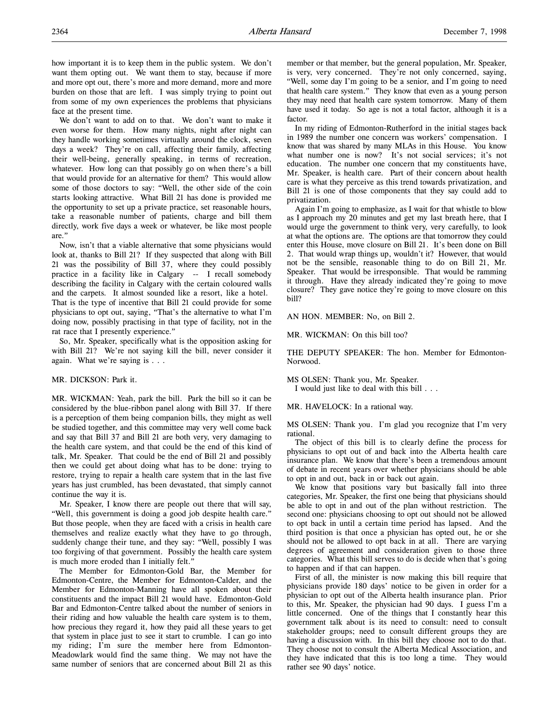how important it is to keep them in the public system. We don't want them opting out. We want them to stay, because if more and more opt out, there's more and more demand, more and more burden on those that are left. I was simply trying to point out from some of my own experiences the problems that physicians face at the present time.

We don't want to add on to that. We don't want to make it even worse for them. How many nights, night after night can they handle working sometimes virtually around the clock, seven days a week? They're on call, affecting their family, affecting their well-being, generally speaking, in terms of recreation, whatever. How long can that possibly go on when there's a bill that would provide for an alternative for them? This would allow some of those doctors to say: "Well, the other side of the coin starts looking attractive. What Bill 21 has done is provided me the opportunity to set up a private practice, set reasonable hours, take a reasonable number of patients, charge and bill them directly, work five days a week or whatever, be like most people are."

Now, isn't that a viable alternative that some physicians would look at, thanks to Bill 21? If they suspected that along with Bill 21 was the possibility of Bill 37, where they could possibly practice in a facility like in Calgary -- I recall somebody describing the facility in Calgary with the certain coloured walls and the carpets. It almost sounded like a resort, like a hotel. That is the type of incentive that Bill 21 could provide for some physicians to opt out, saying, "That's the alternative to what I'm doing now, possibly practising in that type of facility, not in the rat race that I presently experience."

So, Mr. Speaker, specifically what is the opposition asking for with Bill 21? We're not saying kill the bill, never consider it again. What we're saying is . . .

## MR. DICKSON: Park it.

MR. WICKMAN: Yeah, park the bill. Park the bill so it can be considered by the blue-ribbon panel along with Bill 37. If there is a perception of them being companion bills, they might as well be studied together, and this committee may very well come back and say that Bill 37 and Bill 21 are both very, very damaging to the health care system, and that could be the end of this kind of talk, Mr. Speaker. That could be the end of Bill 21 and possibly then we could get about doing what has to be done: trying to restore, trying to repair a health care system that in the last five years has just crumbled, has been devastated, that simply cannot continue the way it is.

Mr. Speaker, I know there are people out there that will say, "Well, this government is doing a good job despite health care." But those people, when they are faced with a crisis in health care themselves and realize exactly what they have to go through, suddenly change their tune, and they say: "Well, possibly I was too forgiving of that government. Possibly the health care system is much more eroded than I initially felt."

The Member for Edmonton-Gold Bar, the Member for Edmonton-Centre, the Member for Edmonton-Calder, and the Member for Edmonton-Manning have all spoken about their constituents and the impact Bill 21 would have. Edmonton-Gold Bar and Edmonton-Centre talked about the number of seniors in their riding and how valuable the health care system is to them, how precious they regard it, how they paid all these years to get that system in place just to see it start to crumble. I can go into my riding; I'm sure the member here from Edmonton-Meadowlark would find the same thing. We may not have the same number of seniors that are concerned about Bill 21 as this

member or that member, but the general population, Mr. Speaker, is very, very concerned. They're not only concerned, saying, "Well, some day I'm going to be a senior, and I'm going to need that health care system." They know that even as a young person they may need that health care system tomorrow. Many of them have used it today. So age is not a total factor, although it is a factor.

In my riding of Edmonton-Rutherford in the initial stages back in 1989 the number one concern was workers' compensation. I know that was shared by many MLAs in this House. You know what number one is now? It's not social services; it's not education. The number one concern that my constituents have, Mr. Speaker, is health care. Part of their concern about health care is what they perceive as this trend towards privatization, and Bill 21 is one of those components that they say could add to privatization.

Again I'm going to emphasize, as I wait for that whistle to blow as I approach my 20 minutes and get my last breath here, that I would urge the government to think very, very carefully, to look at what the options are. The options are that tomorrow they could enter this House, move closure on Bill 21. It's been done on Bill 2. That would wrap things up, wouldn't it? However, that would not be the sensible, reasonable thing to do on Bill 21, Mr. Speaker. That would be irresponsible. That would be ramming it through. Have they already indicated they're going to move closure? They gave notice they're going to move closure on this bill?

#### AN HON. MEMBER: No, on Bill 2.

MR. WICKMAN: On this bill too?

THE DEPUTY SPEAKER: The hon. Member for Edmonton-Norwood.

MS OLSEN: Thank you, Mr. Speaker. I would just like to deal with this bill . . .

MR. HAVELOCK: In a rational way.

MS OLSEN: Thank you. I'm glad you recognize that I'm very rational.

The object of this bill is to clearly define the process for physicians to opt out of and back into the Alberta health care insurance plan. We know that there's been a tremendous amount of debate in recent years over whether physicians should be able to opt in and out, back in or back out again.

We know that positions vary but basically fall into three categories, Mr. Speaker, the first one being that physicians should be able to opt in and out of the plan without restriction. The second one: physicians choosing to opt out should not be allowed to opt back in until a certain time period has lapsed. And the third position is that once a physician has opted out, he or she should not be allowed to opt back in at all. There are varying degrees of agreement and consideration given to those three categories. What this bill serves to do is decide when that's going to happen and if that can happen.

First of all, the minister is now making this bill require that physicians provide 180 days' notice to be given in order for a physician to opt out of the Alberta health insurance plan. Prior to this, Mr. Speaker, the physician had 90 days. I guess I'm a little concerned. One of the things that I constantly hear this government talk about is its need to consult: need to consult stakeholder groups; need to consult different groups they are having a discussion with. In this bill they choose not to do that. They choose not to consult the Alberta Medical Association, and they have indicated that this is too long a time. They would rather see 90 days' notice.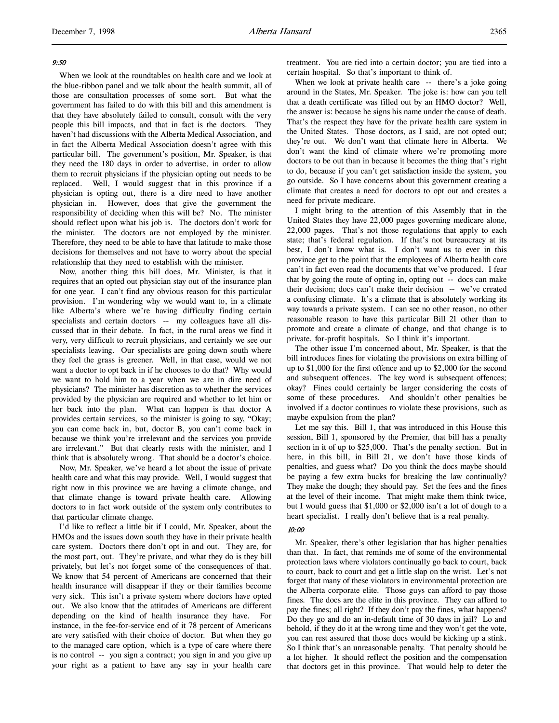When we look at the roundtables on health care and we look at the blue-ribbon panel and we talk about the health summit, all of those are consultation processes of some sort. But what the government has failed to do with this bill and this amendment is that they have absolutely failed to consult, consult with the very people this bill impacts, and that in fact is the doctors. They haven't had discussions with the Alberta Medical Association, and in fact the Alberta Medical Association doesn't agree with this particular bill. The government's position, Mr. Speaker, is that they need the 180 days in order to advertise, in order to allow them to recruit physicians if the physician opting out needs to be replaced. Well, I would suggest that in this province if a physician is opting out, there is a dire need to have another physician in. However, does that give the government the responsibility of deciding when this will be? No. The minister should reflect upon what his job is. The doctors don't work for the minister. The doctors are not employed by the minister. Therefore, they need to be able to have that latitude to make those decisions for themselves and not have to worry about the special relationship that they need to establish with the minister.

Now, another thing this bill does, Mr. Minister, is that it requires that an opted out physician stay out of the insurance plan for one year. I can't find any obvious reason for this particular provision. I'm wondering why we would want to, in a climate like Alberta's where we're having difficulty finding certain specialists and certain doctors -- my colleagues have all discussed that in their debate. In fact, in the rural areas we find it very, very difficult to recruit physicians, and certainly we see our specialists leaving. Our specialists are going down south where they feel the grass is greener. Well, in that case, would we not want a doctor to opt back in if he chooses to do that? Why would we want to hold him to a year when we are in dire need of physicians? The minister has discretion as to whether the services provided by the physician are required and whether to let him or her back into the plan. What can happen is that doctor A provides certain services, so the minister is going to say, "Okay; you can come back in, but, doctor B, you can't come back in because we think you're irrelevant and the services you provide are irrelevant." But that clearly rests with the minister, and I think that is absolutely wrong. That should be a doctor's choice.

Now, Mr. Speaker, we've heard a lot about the issue of private health care and what this may provide. Well, I would suggest that right now in this province we are having a climate change, and that climate change is toward private health care. Allowing doctors to in fact work outside of the system only contributes to that particular climate change.

I'd like to reflect a little bit if I could, Mr. Speaker, about the HMOs and the issues down south they have in their private health care system. Doctors there don't opt in and out. They are, for the most part, out. They're private, and what they do is they bill privately, but let's not forget some of the consequences of that. We know that 54 percent of Americans are concerned that their health insurance will disappear if they or their families become very sick. This isn't a private system where doctors have opted out. We also know that the attitudes of Americans are different depending on the kind of health insurance they have. For instance, in the fee-for-service end of it 78 percent of Americans are very satisfied with their choice of doctor. But when they go to the managed care option, which is a type of care where there is no control -- you sign a contract; you sign in and you give up your right as a patient to have any say in your health care

treatment. You are tied into a certain doctor; you are tied into a certain hospital. So that's important to think of.

When we look at private health care -- there's a joke going around in the States, Mr. Speaker. The joke is: how can you tell that a death certificate was filled out by an HMO doctor? Well, the answer is: because he signs his name under the cause of death. That's the respect they have for the private health care system in the United States. Those doctors, as I said, are not opted out; they're out. We don't want that climate here in Alberta. We don't want the kind of climate where we're promoting more doctors to be out than in because it becomes the thing that's right to do, because if you can't get satisfaction inside the system, you go outside. So I have concerns about this government creating a climate that creates a need for doctors to opt out and creates a need for private medicare.

I might bring to the attention of this Assembly that in the United States they have 22,000 pages governing medicare alone, 22,000 pages. That's not those regulations that apply to each state; that's federal regulation. If that's not bureaucracy at its best, I don't know what is. I don't want us to ever in this province get to the point that the employees of Alberta health care can't in fact even read the documents that we've produced. I fear that by going the route of opting in, opting out -- docs can make their decision; docs can't make their decision -- we've created a confusing climate. It's a climate that is absolutely working its way towards a private system. I can see no other reason, no other reasonable reason to have this particular Bill 21 other than to promote and create a climate of change, and that change is to private, for-profit hospitals. So I think it's important.

The other issue I'm concerned about, Mr. Speaker, is that the bill introduces fines for violating the provisions on extra billing of up to \$1,000 for the first offence and up to \$2,000 for the second and subsequent offences. The key word is subsequent offences; okay? Fines could certainly be larger considering the costs of some of these procedures. And shouldn't other penalties be involved if a doctor continues to violate these provisions, such as maybe expulsion from the plan?

Let me say this. Bill 1, that was introduced in this House this session, Bill 1, sponsored by the Premier, that bill has a penalty section in it of up to \$25,000. That's the penalty section. But in here, in this bill, in Bill 21, we don't have those kinds of penalties, and guess what? Do you think the docs maybe should be paying a few extra bucks for breaking the law continually? They make the dough; they should pay. Set the fees and the fines at the level of their income. That might make them think twice, but I would guess that \$1,000 or \$2,000 isn't a lot of dough to a heart specialist. I really don't believe that is a real penalty.

## 10:00

Mr. Speaker, there's other legislation that has higher penalties than that. In fact, that reminds me of some of the environmental protection laws where violators continually go back to court, back to court, back to court and get a little slap on the wrist. Let's not forget that many of these violators in environmental protection are the Alberta corporate elite. Those guys can afford to pay those fines. The docs are the elite in this province. They can afford to pay the fines; all right? If they don't pay the fines, what happens? Do they go and do an in-default time of 30 days in jail? Lo and behold, if they do it at the wrong time and they won't get the vote, you can rest assured that those docs would be kicking up a stink. So I think that's an unreasonable penalty. That penalty should be a lot higher. It should reflect the position and the compensation that doctors get in this province. That would help to deter the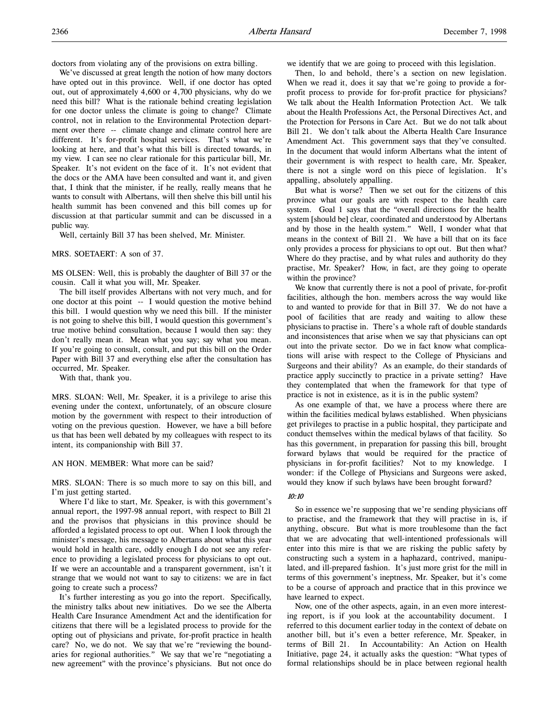doctors from violating any of the provisions on extra billing.

We've discussed at great length the notion of how many doctors have opted out in this province. Well, if one doctor has opted out, out of approximately 4,600 or 4,700 physicians, why do we need this bill? What is the rationale behind creating legislation for one doctor unless the climate is going to change? Climate control, not in relation to the Environmental Protection department over there -- climate change and climate control here are different. It's for-profit hospital services. That's what we're looking at here, and that's what this bill is directed towards, in my view. I can see no clear rationale for this particular bill, Mr. Speaker. It's not evident on the face of it. It's not evident that the docs or the AMA have been consulted and want it, and given that, I think that the minister, if he really, really means that he wants to consult with Albertans, will then shelve this bill until his health summit has been convened and this bill comes up for discussion at that particular summit and can be discussed in a public way.

Well, certainly Bill 37 has been shelved, Mr. Minister.

MRS. SOETAERT: A son of 37.

MS OLSEN: Well, this is probably the daughter of Bill 37 or the cousin. Call it what you will, Mr. Speaker.

The bill itself provides Albertans with not very much, and for one doctor at this point -- I would question the motive behind this bill. I would question why we need this bill. If the minister is not going to shelve this bill, I would question this government's true motive behind consultation, because I would then say: they don't really mean it. Mean what you say; say what you mean. If you're going to consult, consult, and put this bill on the Order Paper with Bill 37 and everything else after the consultation has occurred, Mr. Speaker.

With that, thank you.

MRS. SLOAN: Well, Mr. Speaker, it is a privilege to arise this evening under the context, unfortunately, of an obscure closure motion by the government with respect to their introduction of voting on the previous question. However, we have a bill before us that has been well debated by my colleagues with respect to its intent, its companionship with Bill 37.

#### AN HON. MEMBER: What more can be said?

MRS. SLOAN: There is so much more to say on this bill, and I'm just getting started.

Where I'd like to start, Mr. Speaker, is with this government's annual report, the 1997-98 annual report, with respect to Bill 21 and the provisos that physicians in this province should be afforded a legislated process to opt out. When I look through the minister's message, his message to Albertans about what this year would hold in health care, oddly enough I do not see any reference to providing a legislated process for physicians to opt out. If we were an accountable and a transparent government, isn't it strange that we would not want to say to citizens: we are in fact going to create such a process?

It's further interesting as you go into the report. Specifically, the ministry talks about new initiatives. Do we see the Alberta Health Care Insurance Amendment Act and the identification for citizens that there will be a legislated process to provide for the opting out of physicians and private, for-profit practice in health care? No, we do not. We say that we're "reviewing the boundaries for regional authorities." We say that we're "negotiating a new agreement" with the province's physicians. But not once do

we identify that we are going to proceed with this legislation.

Then, lo and behold, there's a section on new legislation. When we read it, does it say that we're going to provide a forprofit process to provide for for-profit practice for physicians? We talk about the Health Information Protection Act. We talk about the Health Professions Act, the Personal Directives Act, and the Protection for Persons in Care Act. But we do not talk about Bill 21. We don't talk about the Alberta Health Care Insurance Amendment Act. This government says that they've consulted. In the document that would inform Albertans what the intent of their government is with respect to health care, Mr. Speaker, there is not a single word on this piece of legislation. It's appalling, absolutely appalling.

But what is worse? Then we set out for the citizens of this province what our goals are with respect to the health care system. Goal 1 says that the "overall directions for the health system [should be] clear, coordinated and understood by Albertans and by those in the health system." Well, I wonder what that means in the context of Bill 21. We have a bill that on its face only provides a process for physicians to opt out. But then what? Where do they practise, and by what rules and authority do they practise, Mr. Speaker? How, in fact, are they going to operate within the province?

We know that currently there is not a pool of private, for-profit facilities, although the hon. members across the way would like to and wanted to provide for that in Bill 37. We do not have a pool of facilities that are ready and waiting to allow these physicians to practise in. There's a whole raft of double standards and inconsistences that arise when we say that physicians can opt out into the private sector. Do we in fact know what complications will arise with respect to the College of Physicians and Surgeons and their ability? As an example, do their standards of practice apply succinctly to practice in a private setting? Have they contemplated that when the framework for that type of practice is not in existence, as it is in the public system?

As one example of that, we have a process where there are within the facilities medical bylaws established. When physicians get privileges to practise in a public hospital, they participate and conduct themselves within the medical bylaws of that facility. So has this government, in preparation for passing this bill, brought forward bylaws that would be required for the practice of physicians in for-profit facilities? Not to my knowledge. I wonder: if the College of Physicians and Surgeons were asked, would they know if such bylaws have been brought forward?

#### 10:10

So in essence we're supposing that we're sending physicians off to practise, and the framework that they will practise in is, if anything, obscure. But what is more troublesome than the fact that we are advocating that well-intentioned professionals will enter into this mire is that we are risking the public safety by constructing such a system in a haphazard, contrived, manipulated, and ill-prepared fashion. It's just more grist for the mill in terms of this government's ineptness, Mr. Speaker, but it's come to be a course of approach and practice that in this province we have learned to expect.

Now, one of the other aspects, again, in an even more interesting report, is if you look at the accountability document. I referred to this document earlier today in the context of debate on another bill, but it's even a better reference, Mr. Speaker, in terms of Bill 21. In Accountability: An Action on Health Initiative, page 24, it actually asks the question: "What types of formal relationships should be in place between regional health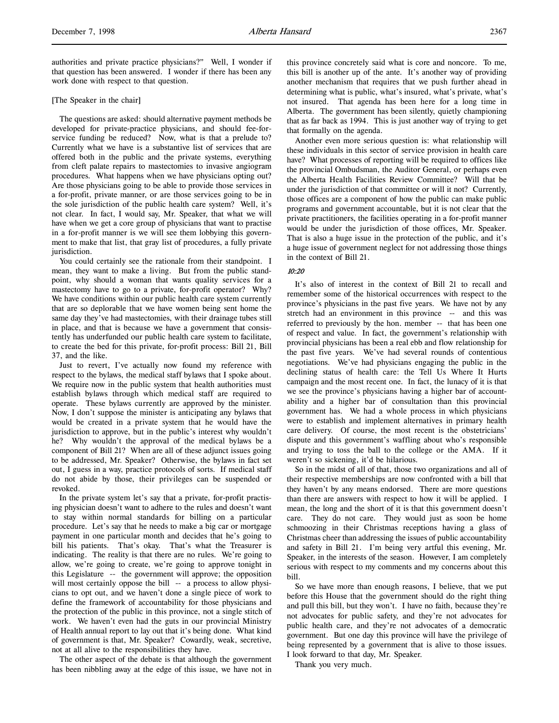authorities and private practice physicians?" Well, I wonder if that question has been answered. I wonder if there has been any work done with respect to that question.

# [The Speaker in the chair]

The questions are asked: should alternative payment methods be developed for private-practice physicians, and should fee-forservice funding be reduced? Now, what is that a prelude to? Currently what we have is a substantive list of services that are offered both in the public and the private systems, everything from cleft palate repairs to mastectomies to invasive angiogram procedures. What happens when we have physicians opting out? Are those physicians going to be able to provide those services in a for-profit, private manner, or are those services going to be in the sole jurisdiction of the public health care system? Well, it's not clear. In fact, I would say, Mr. Speaker, that what we will have when we get a core group of physicians that want to practise in a for-profit manner is we will see them lobbying this government to make that list, that gray list of procedures, a fully private jurisdiction.

You could certainly see the rationale from their standpoint. I mean, they want to make a living. But from the public standpoint, why should a woman that wants quality services for a mastectomy have to go to a private, for-profit operator? Why? We have conditions within our public health care system currently that are so deplorable that we have women being sent home the same day they've had mastectomies, with their drainage tubes still in place, and that is because we have a government that consistently has underfunded our public health care system to facilitate, to create the bed for this private, for-profit process: Bill 21, Bill 37, and the like.

Just to revert, I've actually now found my reference with respect to the bylaws, the medical staff bylaws that I spoke about. We require now in the public system that health authorities must establish bylaws through which medical staff are required to operate. These bylaws currently are approved by the minister. Now, I don't suppose the minister is anticipating any bylaws that would be created in a private system that he would have the jurisdiction to approve, but in the public's interest why wouldn't he? Why wouldn't the approval of the medical bylaws be a component of Bill 21? When are all of these adjunct issues going to be addressed, Mr. Speaker? Otherwise, the bylaws in fact set out, I guess in a way, practice protocols of sorts. If medical staff do not abide by those, their privileges can be suspended or revoked.

In the private system let's say that a private, for-profit practising physician doesn't want to adhere to the rules and doesn't want to stay within normal standards for billing on a particular procedure. Let's say that he needs to make a big car or mortgage payment in one particular month and decides that he's going to bill his patients. That's okay. That's what the Treasurer is indicating. The reality is that there are no rules. We're going to allow, we're going to create, we're going to approve tonight in this Legislature -- the government will approve; the opposition will most certainly oppose the bill -- a process to allow physicians to opt out, and we haven't done a single piece of work to define the framework of accountability for those physicians and the protection of the public in this province, not a single stitch of work. We haven't even had the guts in our provincial Ministry of Health annual report to lay out that it's being done. What kind of government is that, Mr. Speaker? Cowardly, weak, secretive, not at all alive to the responsibilities they have.

The other aspect of the debate is that although the government has been nibbling away at the edge of this issue, we have not in

this province concretely said what is core and noncore. To me, this bill is another up of the ante. It's another way of providing another mechanism that requires that we push further ahead in determining what is public, what's insured, what's private, what's not insured. That agenda has been here for a long time in Alberta. The government has been silently, quietly championing that as far back as 1994. This is just another way of trying to get that formally on the agenda.

Another even more serious question is: what relationship will these individuals in this sector of service provision in health care have? What processes of reporting will be required to offices like the provincial Ombudsman, the Auditor General, or perhaps even the Alberta Health Facilities Review Committee? Will that be under the jurisdiction of that committee or will it not? Currently, those offices are a component of how the public can make public programs and government accountable, but it is not clear that the private practitioners, the facilities operating in a for-profit manner would be under the jurisdiction of those offices, Mr. Speaker. That is also a huge issue in the protection of the public, and it's a huge issue of government neglect for not addressing those things in the context of Bill 21.

## $10.20$

It's also of interest in the context of Bill 21 to recall and remember some of the historical occurrences with respect to the province's physicians in the past five years. We have not by any stretch had an environment in this province -- and this was referred to previously by the hon. member -- that has been one of respect and value. In fact, the government's relationship with provincial physicians has been a real ebb and flow relationship for the past five years. We've had several rounds of contentious negotiations. We've had physicians engaging the public in the declining status of health care: the Tell Us Where It Hurts campaign and the most recent one. In fact, the lunacy of it is that we see the province's physicians having a higher bar of accountability and a higher bar of consultation than this provincial government has. We had a whole process in which physicians were to establish and implement alternatives in primary health care delivery. Of course, the most recent is the obstetricians' dispute and this government's waffling about who's responsible and trying to toss the ball to the college or the AMA. If it weren't so sickening, it'd be hilarious.

So in the midst of all of that, those two organizations and all of their respective memberships are now confronted with a bill that they haven't by any means endorsed. There are more questions than there are answers with respect to how it will be applied. I mean, the long and the short of it is that this government doesn't care. They do not care. They would just as soon be home schmoozing in their Christmas receptions having a glass of Christmas cheer than addressing the issues of public accountability and safety in Bill 21. I'm being very artful this evening, Mr. Speaker, in the interests of the season. However, I am completely serious with respect to my comments and my concerns about this bill.

So we have more than enough reasons, I believe, that we put before this House that the government should do the right thing and pull this bill, but they won't. I have no faith, because they're not advocates for public safety, and they're not advocates for public health care, and they're not advocates of a democratic government. But one day this province will have the privilege of being represented by a government that is alive to those issues. I look forward to that day, Mr. Speaker.

Thank you very much.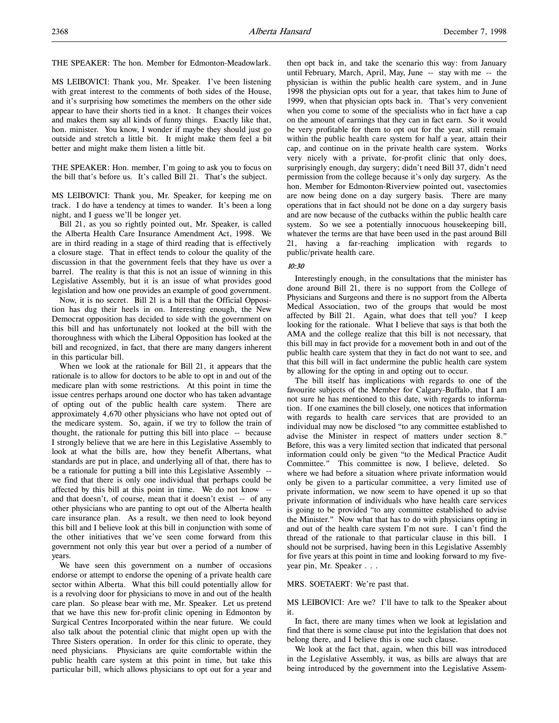THE SPEAKER: The hon. Member for Edmonton-Meadowlark.

MS LEIBOVICI: Thank you, Mr. Speaker. I've been listening with great interest to the comments of both sides of the House, and it's surprising how sometimes the members on the other side appear to have their shorts tied in a knot. It changes their voices and makes them say all kinds of funny things. Exactly like that, hon. minister. You know, I wonder if maybe they should just go outside and stretch a little bit. It might make them feel a bit better and might make them listen a little bit.

THE SPEAKER: Hon. member, I'm going to ask you to focus on the bill that's before us. It's called Bill 21. That's the subject.

MS LEIBOVICI: Thank you, Mr. Speaker, for keeping me on track. I do have a tendency at times to wander. It's been a long night, and I guess we'll be longer yet.

Bill 21, as you so rightly pointed out, Mr. Speaker, is called the Alberta Health Care Insurance Amendment Act, 1998. We are in third reading in a stage of third reading that is effectively a closure stage. That in effect tends to colour the quality of the discussion in that the government feels that they have us over a barrel. The reality is that this is not an issue of winning in this Legislative Assembly, but it is an issue of what provides good legislation and how one provides an example of good government.

Now, it is no secret. Bill 21 is a bill that the Official Opposition has dug their heels in on. Interesting enough, the New Democrat opposition has decided to side with the government on this bill and has unfortunately not looked at the bill with the thoroughness with which the Liberal Opposition has looked at the bill and recognized, in fact, that there are many dangers inherent in this particular bill.

When we look at the rationale for Bill 21, it appears that the rationale is to allow for doctors to be able to opt in and out of the medicare plan with some restrictions. At this point in time the issue centres perhaps around one doctor who has taken advantage of opting out of the public health care system. There are approximately 4,670 other physicians who have not opted out of the medicare system. So, again, if we try to follow the train of thought, the rationale for putting this bill into place -- because I strongly believe that we are here in this Legislative Assembly to look at what the bills are, how they benefit Albertans, what standards are put in place, and underlying all of that, there has to be a rationale for putting a bill into this Legislative Assembly - we find that there is only one individual that perhaps could be affected by this bill at this point in time. We do not know - and that doesn't, of course, mean that it doesn't exist -- of any other physicians who are panting to opt out of the Alberta health care insurance plan. As a result, we then need to look beyond this bill and I believe look at this bill in conjunction with some of the other initiatives that we've seen come forward from this government not only this year but over a period of a number of years.

We have seen this government on a number of occasions endorse or attempt to endorse the opening of a private health care sector within Alberta. What this bill could potentially allow for is a revolving door for physicians to move in and out of the health care plan. So please bear with me, Mr. Speaker. Let us pretend that we have this new for-profit clinic opening in Edmonton by Surgical Centres Incorporated within the near future. We could also talk about the potential clinic that might open up with the Three Sisters operation. In order for this clinic to operate, they need physicians. Physicians are quite comfortable within the public health care system at this point in time, but take this particular bill, which allows physicians to opt out for a year and

then opt back in, and take the scenario this way: from January until February, March, April, May, June -- stay with me -- the physician is within the public health care system, and in June 1998 the physician opts out for a year, that takes him to June of 1999, when that physician opts back in. That's very convenient when you come to some of the specialists who in fact have a cap on the amount of earnings that they can in fact earn. So it would be very profitable for them to opt out for the year, still remain within the public health care system for half a year, attain their cap, and continue on in the private health care system. Works very nicely with a private, for-profit clinic that only does, surprisingly enough, day surgery; didn't need Bill 37, didn't need permission from the college because it's only day surgery. As the hon. Member for Edmonton-Riverview pointed out, vasectomies are now being done on a day surgery basis. There are many operations that in fact should not be done on a day surgery basis and are now because of the cutbacks within the public health care system. So we see a potentially innocuous housekeeping bill, whatever the terms are that have been used in the past around Bill 21, having a far-reaching implication with regards to public/private health care.

## $10.30$

Interestingly enough, in the consultations that the minister has done around Bill 21, there is no support from the College of Physicians and Surgeons and there is no support from the Alberta Medical Association, two of the groups that would be most affected by Bill 21. Again, what does that tell you? I keep looking for the rationale. What I believe that says is that both the AMA and the college realize that this bill is not necessary, that this bill may in fact provide for a movement both in and out of the public health care system that they in fact do not want to see, and that this bill will in fact undermine the public health care system by allowing for the opting in and opting out to occur.

The bill itself has implications with regards to one of the favourite subjects of the Member for Calgary-Buffalo, that I am not sure he has mentioned to this date, with regards to information. If one examines the bill closely, one notices that information with regards to health care services that are provided to an individual may now be disclosed "to any committee established to advise the Minister in respect of matters under section 8." Before, this was a very limited section that indicated that personal information could only be given "to the Medical Practice Audit Committee." This committee is now, I believe, deleted. So where we had before a situation where private information would only be given to a particular committee, a very limited use of private information, we now seem to have opened it up so that private information of individuals who have health care services is going to be provided "to any committee established to advise the Minister." Now what that has to do with physicians opting in and out of the health care system I'm not sure. I can't find the thread of the rationale to that particular clause in this bill. I should not be surprised, having been in this Legislative Assembly for five years at this point in time and looking forward to my fiveyear pin, Mr. Speaker . . .

#### MRS. SOETAERT: We're past that.

MS LEIBOVICI: Are we? I'll have to talk to the Speaker about it.

In fact, there are many times when we look at legislation and find that there is some clause put into the legislation that does not belong there, and I believe this is one such clause.

We look at the fact that, again, when this bill was introduced in the Legislative Assembly, it was, as bills are always that are being introduced by the government into the Legislative Assem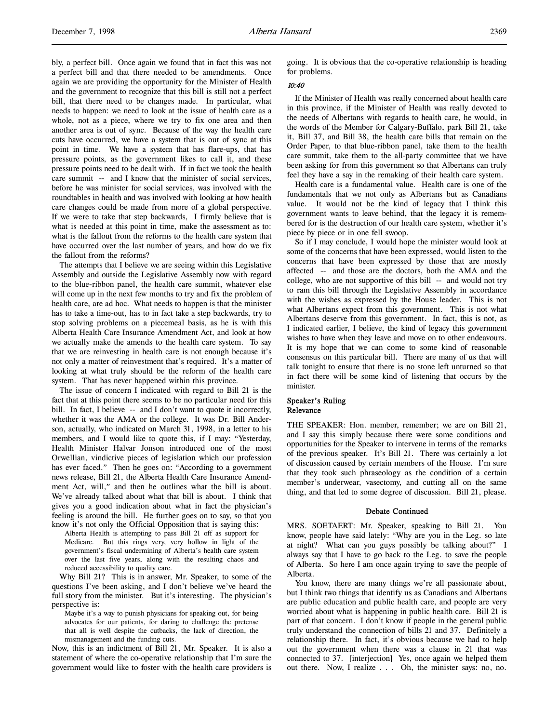bly, a perfect bill. Once again we found that in fact this was not a perfect bill and that there needed to be amendments. Once again we are providing the opportunity for the Minister of Health and the government to recognize that this bill is still not a perfect bill, that there need to be changes made. In particular, what needs to happen: we need to look at the issue of health care as a whole, not as a piece, where we try to fix one area and then another area is out of sync. Because of the way the health care cuts have occurred, we have a system that is out of sync at this point in time. We have a system that has flare-ups, that has pressure points, as the government likes to call it, and these pressure points need to be dealt with. If in fact we took the health care summit -- and I know that the minister of social services, before he was minister for social services, was involved with the roundtables in health and was involved with looking at how health care changes could be made from more of a global perspective. If we were to take that step backwards, I firmly believe that is what is needed at this point in time, make the assessment as to: what is the fallout from the reforms to the health care system that have occurred over the last number of years, and how do we fix the fallout from the reforms?

The attempts that I believe we are seeing within this Legislative Assembly and outside the Legislative Assembly now with regard to the blue-ribbon panel, the health care summit, whatever else will come up in the next few months to try and fix the problem of health care, are ad hoc. What needs to happen is that the minister has to take a time-out, has to in fact take a step backwards, try to stop solving problems on a piecemeal basis, as he is with this Alberta Health Care Insurance Amendment Act, and look at how we actually make the amends to the health care system. To say that we are reinvesting in health care is not enough because it's not only a matter of reinvestment that's required. It's a matter of looking at what truly should be the reform of the health care system. That has never happened within this province.

The issue of concern I indicated with regard to Bill 21 is the fact that at this point there seems to be no particular need for this bill. In fact, I believe -- and I don't want to quote it incorrectly, whether it was the AMA or the college. It was Dr. Bill Anderson, actually, who indicated on March 31, 1998, in a letter to his members, and I would like to quote this, if I may: "Yesterday, Health Minister Halvar Jonson introduced one of the most Orwellian, vindictive pieces of legislation which our profession has ever faced." Then he goes on: "According to a government news release, Bill 21, the Alberta Health Care Insurance Amendment Act, will," and then he outlines what the bill is about. We've already talked about what that bill is about. I think that gives you a good indication about what in fact the physician's feeling is around the bill. He further goes on to say, so that you know it's not only the Official Opposition that is saying this:

Alberta Health is attempting to pass Bill 21 off as support for Medicare. But this rings very, very hollow in light of the government's fiscal undermining of Alberta's health care system over the last five years, along with the resulting chaos and reduced accessibility to quality care.

Why Bill 21? This is in answer, Mr. Speaker, to some of the questions I've been asking, and I don't believe we've heard the full story from the minister. But it's interesting. The physician's perspective is:

Maybe it's a way to punish physicians for speaking out, for being advocates for our patients, for daring to challenge the pretense that all is well despite the cutbacks, the lack of direction, the mismanagement and the funding cuts.

Now, this is an indictment of Bill 21, Mr. Speaker. It is also a statement of where the co-operative relationship that I'm sure the government would like to foster with the health care providers is

going. It is obvious that the co-operative relationship is heading for problems.

# 10:40

If the Minister of Health was really concerned about health care in this province, if the Minister of Health was really devoted to the needs of Albertans with regards to health care, he would, in the words of the Member for Calgary-Buffalo, park Bill 21, take it, Bill 37, and Bill 38, the health care bills that remain on the Order Paper, to that blue-ribbon panel, take them to the health care summit, take them to the all-party committee that we have been asking for from this government so that Albertans can truly feel they have a say in the remaking of their health care system.

Health care is a fundamental value. Health care is one of the fundamentals that we not only as Albertans but as Canadians value. It would not be the kind of legacy that I think this government wants to leave behind, that the legacy it is remembered for is the destruction of our health care system, whether it's piece by piece or in one fell swoop.

So if I may conclude, I would hope the minister would look at some of the concerns that have been expressed, would listen to the concerns that have been expressed by those that are mostly affected -- and those are the doctors, both the AMA and the college, who are not supportive of this bill -- and would not try to ram this bill through the Legislative Assembly in accordance with the wishes as expressed by the House leader. This is not what Albertans expect from this government. This is not what Albertans deserve from this government. In fact, this is not, as I indicated earlier, I believe, the kind of legacy this government wishes to have when they leave and move on to other endeavours. It is my hope that we can come to some kind of reasonable consensus on this particular bill. There are many of us that will talk tonight to ensure that there is no stone left unturned so that in fact there will be some kind of listening that occurs by the minister.

# Speaker's Ruling Relevance

THE SPEAKER: Hon. member, remember; we are on Bill 21, and I say this simply because there were some conditions and opportunities for the Speaker to intervene in terms of the remarks of the previous speaker. It's Bill 21. There was certainly a lot of discussion caused by certain members of the House. I'm sure that they took such phraseology as the condition of a certain member's underwear, vasectomy, and cutting all on the same thing, and that led to some degree of discussion. Bill 21, please.

### Debate Continued

MRS. SOETAERT: Mr. Speaker, speaking to Bill 21. You know, people have said lately: "Why are you in the Leg. so late at night? What can you guys possibly be talking about?" I always say that I have to go back to the Leg. to save the people of Alberta. So here I am once again trying to save the people of Alberta.

You know, there are many things we're all passionate about, but I think two things that identify us as Canadians and Albertans are public education and public health care, and people are very worried about what is happening in public health care. Bill 21 is part of that concern. I don't know if people in the general public truly understand the connection of bills 21 and 37. Definitely a relationship there. In fact, it's obvious because we had to help out the government when there was a clause in 21 that was connected to 37. [interjection] Yes, once again we helped them out there. Now, I realize . . . Oh, the minister says: no, no.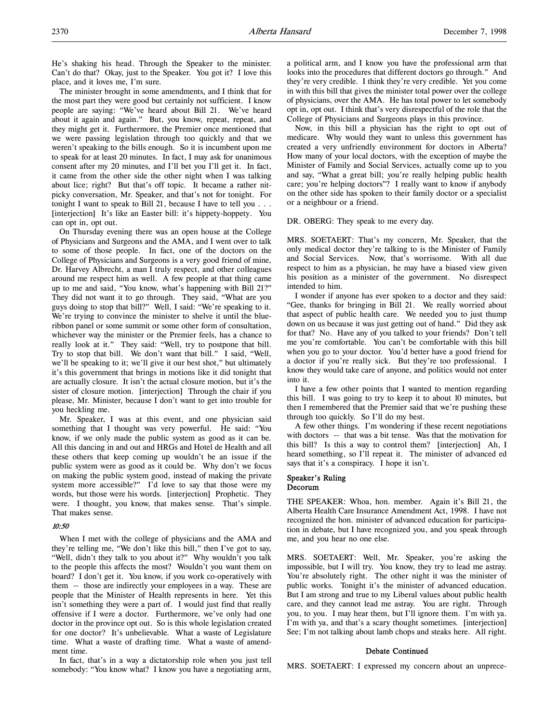He's shaking his head. Through the Speaker to the minister. Can't do that? Okay, just to the Speaker. You got it? I love this place, and it loves me, I'm sure.

The minister brought in some amendments, and I think that for the most part they were good but certainly not sufficient. I know people are saying: "We've heard about Bill 21. We've heard about it again and again." But, you know, repeat, repeat, and they might get it. Furthermore, the Premier once mentioned that we were passing legislation through too quickly and that we weren't speaking to the bills enough. So it is incumbent upon me to speak for at least 20 minutes. In fact, I may ask for unanimous consent after my 20 minutes, and I'll bet you I'll get it. In fact, it came from the other side the other night when I was talking about lice; right? But that's off topic. It became a rather nitpicky conversation, Mr. Speaker, and that's not for tonight. For tonight I want to speak to Bill 21, because I have to tell you . . . [interjection] It's like an Easter bill: it's hippety-hoppety. You can opt in, opt out.

On Thursday evening there was an open house at the College of Physicians and Surgeons and the AMA, and I went over to talk to some of those people. In fact, one of the doctors on the College of Physicians and Surgeons is a very good friend of mine, Dr. Harvey Albrecht, a man I truly respect, and other colleagues around me respect him as well. A few people at that thing came up to me and said, "You know, what's happening with Bill 21?" They did not want it to go through. They said, "What are you guys doing to stop that bill?" Well, I said: "We're speaking to it. We're trying to convince the minister to shelve it until the blueribbon panel or some summit or some other form of consultation, whichever way the minister or the Premier feels, has a chance to really look at it." They said: "Well, try to postpone that bill. Try to stop that bill. We don't want that bill." I said, "Well, we'll be speaking to it; we'll give it our best shot," but ultimately it's this government that brings in motions like it did tonight that are actually closure. It isn't the actual closure motion, but it's the sister of closure motion. [interjection] Through the chair if you please, Mr. Minister, because I don't want to get into trouble for you heckling me.

Mr. Speaker, I was at this event, and one physician said something that I thought was very powerful. He said: "You know, if we only made the public system as good as it can be. All this dancing in and out and HRGs and Hotel de Health and all these others that keep coming up wouldn't be an issue if the public system were as good as it could be. Why don't we focus on making the public system good, instead of making the private system more accessible?" I'd love to say that those were my words, but those were his words. [interjection] Prophetic. They were. I thought, you know, that makes sense. That's simple. That makes sense.

# 10:50

When I met with the college of physicians and the AMA and they're telling me, "We don't like this bill," then I've got to say, "Well, didn't they talk to you about it?" Why wouldn't you talk to the people this affects the most? Wouldn't you want them on board? I don't get it. You know, if you work co-operatively with them -- those are indirectly your employees in a way. These are people that the Minister of Health represents in here. Yet this isn't something they were a part of. I would just find that really offensive if I were a doctor. Furthermore, we've only had one doctor in the province opt out. So is this whole legislation created for one doctor? It's unbelievable. What a waste of Legislature time. What a waste of drafting time. What a waste of amendment time.

In fact, that's in a way a dictatorship role when you just tell somebody: "You know what? I know you have a negotiating arm,

a political arm, and I know you have the professional arm that looks into the procedures that different doctors go through." And they're very credible. I think they're very credible. Yet you come in with this bill that gives the minister total power over the college of physicians, over the AMA. He has total power to let somebody opt in, opt out. I think that's very disrespectful of the role that the College of Physicians and Surgeons plays in this province.

Now, in this bill a physician has the right to opt out of medicare. Why would they want to unless this government has created a very unfriendly environment for doctors in Alberta? How many of your local doctors, with the exception of maybe the Minister of Family and Social Services, actually come up to you and say, "What a great bill; you're really helping public health care; you're helping doctors"? I really want to know if anybody on the other side has spoken to their family doctor or a specialist or a neighbour or a friend.

### DR. OBERG: They speak to me every day.

MRS. SOETAERT: That's my concern, Mr. Speaker, that the only medical doctor they're talking to is the Minister of Family and Social Services. Now, that's worrisome. With all due respect to him as a physician, he may have a biased view given his position as a minister of the government. No disrespect intended to him.

I wonder if anyone has ever spoken to a doctor and they said: "Gee, thanks for bringing in Bill 21. We really worried about that aspect of public health care. We needed you to just thump down on us because it was just getting out of hand." Did they ask for that? No. Have any of you talked to your friends? Don't tell me you're comfortable. You can't be comfortable with this bill when you go to your doctor. You'd better have a good friend for a doctor if you're really sick. But they're too professional. I know they would take care of anyone, and politics would not enter into it.

I have a few other points that I wanted to mention regarding this bill. I was going to try to keep it to about 10 minutes, but then I remembered that the Premier said that we're pushing these through too quickly. So I'll do my best.

A few other things. I'm wondering if these recent negotiations with doctors -- that was a bit tense. Was that the motivation for this bill? Is this a way to control them? [interjection] Ah, I heard something, so I'll repeat it. The minister of advanced ed says that it's a conspiracy. I hope it isn't.

#### Speaker's Ruling Decorum

THE SPEAKER: Whoa, hon. member. Again it's Bill 21, the Alberta Health Care Insurance Amendment Act, 1998. I have not recognized the hon. minister of advanced education for participation in debate, but I have recognized you, and you speak through me, and you hear no one else.

MRS. SOETAERT: Well, Mr. Speaker, you're asking the impossible, but I will try. You know, they try to lead me astray. You're absolutely right. The other night it was the minister of public works. Tonight it's the minister of advanced education. But I am strong and true to my Liberal values about public health care, and they cannot lead me astray. You are right. Through you, to you. I may hear them, but I'll ignore them. I'm with ya. I'm with ya, and that's a scary thought sometimes. [interjection] See; I'm not talking about lamb chops and steaks here. All right.

### Debate Continued

MRS. SOETAERT: I expressed my concern about an unprece-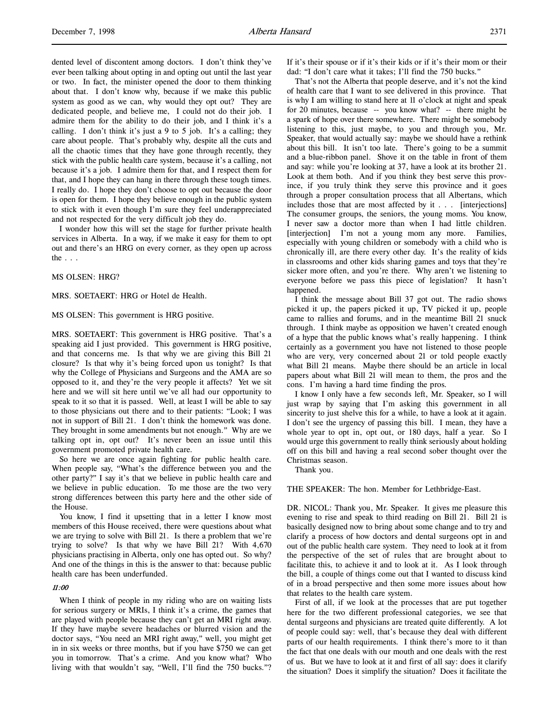dented level of discontent among doctors. I don't think they've ever been talking about opting in and opting out until the last year or two. In fact, the minister opened the door to them thinking about that. I don't know why, because if we make this public system as good as we can, why would they opt out? They are dedicated people, and believe me, I could not do their job. I admire them for the ability to do their job, and I think it's a calling. I don't think it's just a 9 to 5 job. It's a calling; they care about people. That's probably why, despite all the cuts and all the chaotic times that they have gone through recently, they stick with the public health care system, because it's a calling, not

because it's a job. I admire them for that, and I respect them for that, and I hope they can hang in there through these tough times. I really do. I hope they don't choose to opt out because the door is open for them. I hope they believe enough in the public system to stick with it even though I'm sure they feel underappreciated and not respected for the very difficult job they do.

I wonder how this will set the stage for further private health services in Alberta. In a way, if we make it easy for them to opt out and there's an HRG on every corner, as they open up across the  $\ldots$ 

## MS OLSEN: HRG?

#### MRS. SOETAERT: HRG or Hotel de Health.

### MS OLSEN: This government is HRG positive.

MRS. SOETAERT: This government is HRG positive. That's a speaking aid I just provided. This government is HRG positive, and that concerns me. Is that why we are giving this Bill 21 closure? Is that why it's being forced upon us tonight? Is that why the College of Physicians and Surgeons and the AMA are so opposed to it, and they're the very people it affects? Yet we sit here and we will sit here until we've all had our opportunity to speak to it so that it is passed. Well, at least I will be able to say to those physicians out there and to their patients: "Look; I was not in support of Bill 21. I don't think the homework was done. They brought in some amendments but not enough." Why are we talking opt in, opt out? It's never been an issue until this government promoted private health care.

So here we are once again fighting for public health care. When people say, "What's the difference between you and the other party?" I say it's that we believe in public health care and we believe in public education. To me those are the two very strong differences between this party here and the other side of the House.

You know, I find it upsetting that in a letter I know most members of this House received, there were questions about what we are trying to solve with Bill 21. Is there a problem that we're trying to solve? Is that why we have Bill 21? With 4,670 physicians practising in Alberta, only one has opted out. So why? And one of the things in this is the answer to that: because public health care has been underfunded.

# 11:00

When I think of people in my riding who are on waiting lists for serious surgery or MRIs, I think it's a crime, the games that are played with people because they can't get an MRI right away. If they have maybe severe headaches or blurred vision and the doctor says, "You need an MRI right away," well, you might get in in six weeks or three months, but if you have \$750 we can get you in tomorrow. That's a crime. And you know what? Who living with that wouldn't say, "Well, I'll find the 750 bucks."?

If it's their spouse or if it's their kids or if it's their mom or their dad: "I don't care what it takes; I'll find the 750 bucks."

That's not the Alberta that people deserve, and it's not the kind of health care that I want to see delivered in this province. That is why I am willing to stand here at 11 o'clock at night and speak for 20 minutes, because -- you know what? -- there might be a spark of hope over there somewhere. There might be somebody listening to this, just maybe, to you and through you, Mr. Speaker, that would actually say: maybe we should have a rethink about this bill. It isn't too late. There's going to be a summit and a blue-ribbon panel. Shove it on the table in front of them and say: while you're looking at 37, have a look at its brother 21. Look at them both. And if you think they best serve this province, if you truly think they serve this province and it goes through a proper consultation process that all Albertans, which includes those that are most affected by it . . . [interjections] The consumer groups, the seniors, the young moms. You know, I never saw a doctor more than when I had little children. [interjection] I'm not a young mom any more. Families, especially with young children or somebody with a child who is chronically ill, are there every other day. It's the reality of kids in classrooms and other kids sharing games and toys that they're sicker more often, and you're there. Why aren't we listening to everyone before we pass this piece of legislation? It hasn't happened.

I think the message about Bill 37 got out. The radio shows picked it up, the papers picked it up, TV picked it up, people came to rallies and forums, and in the meantime Bill 21 snuck through. I think maybe as opposition we haven't created enough of a hype that the public knows what's really happening. I think certainly as a government you have not listened to those people who are very, very concerned about 21 or told people exactly what Bill 21 means. Maybe there should be an article in local papers about what Bill 21 will mean to them, the pros and the cons. I'm having a hard time finding the pros.

I know I only have a few seconds left, Mr. Speaker, so I will just wrap by saying that I'm asking this government in all sincerity to just shelve this for a while, to have a look at it again. I don't see the urgency of passing this bill. I mean, they have a whole year to opt in, opt out, or 180 days, half a year. So I would urge this government to really think seriously about holding off on this bill and having a real second sober thought over the Christmas season.

Thank you.

THE SPEAKER: The hon. Member for Lethbridge-East.

DR. NICOL: Thank you, Mr. Speaker. It gives me pleasure this evening to rise and speak to third reading on Bill 21. Bill 21 is basically designed now to bring about some change and to try and clarify a process of how doctors and dental surgeons opt in and out of the public health care system. They need to look at it from the perspective of the set of rules that are brought about to facilitate this, to achieve it and to look at it. As I look through the bill, a couple of things come out that I wanted to discuss kind of in a broad perspective and then some more issues about how that relates to the health care system.

First of all, if we look at the processes that are put together here for the two different professional categories, we see that dental surgeons and physicians are treated quite differently. A lot of people could say: well, that's because they deal with different parts of our health requirements. I think there's more to it than the fact that one deals with our mouth and one deals with the rest of us. But we have to look at it and first of all say: does it clarify the situation? Does it simplify the situation? Does it facilitate the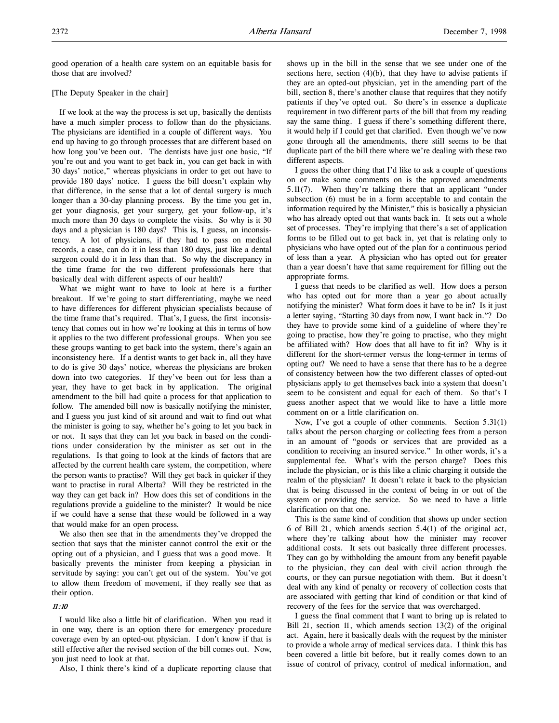good operation of a health care system on an equitable basis for those that are involved?

# [The Deputy Speaker in the chair]

If we look at the way the process is set up, basically the dentists have a much simpler process to follow than do the physicians. The physicians are identified in a couple of different ways. You end up having to go through processes that are different based on how long you've been out. The dentists have just one basic, "If you're out and you want to get back in, you can get back in with 30 days' notice," whereas physicians in order to get out have to provide 180 days' notice. I guess the bill doesn't explain why that difference, in the sense that a lot of dental surgery is much longer than a 30-day planning process. By the time you get in, get your diagnosis, get your surgery, get your follow-up, it's much more than 30 days to complete the visits. So why is it 30 days and a physician is 180 days? This is, I guess, an inconsistency. A lot of physicians, if they had to pass on medical records, a case, can do it in less than 180 days, just like a dental surgeon could do it in less than that. So why the discrepancy in the time frame for the two different professionals here that basically deal with different aspects of our health?

What we might want to have to look at here is a further breakout. If we're going to start differentiating, maybe we need to have differences for different physician specialists because of the time frame that's required. That's, I guess, the first inconsistency that comes out in how we're looking at this in terms of how it applies to the two different professional groups. When you see these groups wanting to get back into the system, there's again an inconsistency here. If a dentist wants to get back in, all they have to do is give 30 days' notice, whereas the physicians are broken down into two categories. If they've been out for less than a year, they have to get back in by application. The original amendment to the bill had quite a process for that application to follow. The amended bill now is basically notifying the minister, and I guess you just kind of sit around and wait to find out what the minister is going to say, whether he's going to let you back in or not. It says that they can let you back in based on the conditions under consideration by the minister as set out in the regulations. Is that going to look at the kinds of factors that are affected by the current health care system, the competition, where the person wants to practise? Will they get back in quicker if they want to practise in rural Alberta? Will they be restricted in the way they can get back in? How does this set of conditions in the regulations provide a guideline to the minister? It would be nice if we could have a sense that these would be followed in a way that would make for an open process.

We also then see that in the amendments they've dropped the section that says that the minister cannot control the exit or the opting out of a physician, and I guess that was a good move. It basically prevents the minister from keeping a physician in servitude by saying: you can't get out of the system. You've got to allow them freedom of movement, if they really see that as their option.

# 11:10

I would like also a little bit of clarification. When you read it in one way, there is an option there for emergency procedure coverage even by an opted-out physician. I don't know if that is still effective after the revised section of the bill comes out. Now, you just need to look at that.

Also, I think there's kind of a duplicate reporting clause that

shows up in the bill in the sense that we see under one of the sections here, section  $(4)(b)$ , that they have to advise patients if they are an opted-out physician, yet in the amending part of the bill, section 8, there's another clause that requires that they notify patients if they've opted out. So there's in essence a duplicate requirement in two different parts of the bill that from my reading say the same thing. I guess if there's something different there, it would help if I could get that clarified. Even though we've now gone through all the amendments, there still seems to be that duplicate part of the bill there where we're dealing with these two different aspects.

I guess the other thing that I'd like to ask a couple of questions on or make some comments on is the approved amendments 5.11(7). When they're talking there that an applicant "under subsection (6) must be in a form acceptable to and contain the information required by the Minister," this is basically a physician who has already opted out that wants back in. It sets out a whole set of processes. They're implying that there's a set of application forms to be filled out to get back in, yet that is relating only to physicians who have opted out of the plan for a continuous period of less than a year. A physician who has opted out for greater than a year doesn't have that same requirement for filling out the appropriate forms.

I guess that needs to be clarified as well. How does a person who has opted out for more than a year go about actually notifying the minister? What form does it have to be in? Is it just a letter saying, "Starting 30 days from now, I want back in."? Do they have to provide some kind of a guideline of where they're going to practise, how they're going to practise, who they might be affiliated with? How does that all have to fit in? Why is it different for the short-termer versus the long-termer in terms of opting out? We need to have a sense that there has to be a degree of consistency between how the two different classes of opted-out physicians apply to get themselves back into a system that doesn't seem to be consistent and equal for each of them. So that's I guess another aspect that we would like to have a little more comment on or a little clarification on.

Now, I've got a couple of other comments. Section 5.31(1) talks about the person charging or collecting fees from a person in an amount of "goods or services that are provided as a condition to receiving an insured service." In other words, it's a supplemental fee. What's with the person charge? Does this include the physician, or is this like a clinic charging it outside the realm of the physician? It doesn't relate it back to the physician that is being discussed in the context of being in or out of the system or providing the service. So we need to have a little clarification on that one.

This is the same kind of condition that shows up under section 6 of Bill 21, which amends section 5.4(1) of the original act, where they're talking about how the minister may recover additional costs. It sets out basically three different processes. They can go by withholding the amount from any benefit payable to the physician, they can deal with civil action through the courts, or they can pursue negotiation with them. But it doesn't deal with any kind of penalty or recovery of collection costs that are associated with getting that kind of condition or that kind of recovery of the fees for the service that was overcharged.

I guess the final comment that I want to bring up is related to Bill 21, section 11, which amends section 13(2) of the original act. Again, here it basically deals with the request by the minister to provide a whole array of medical services data. I think this has been covered a little bit before, but it really comes down to an issue of control of privacy, control of medical information, and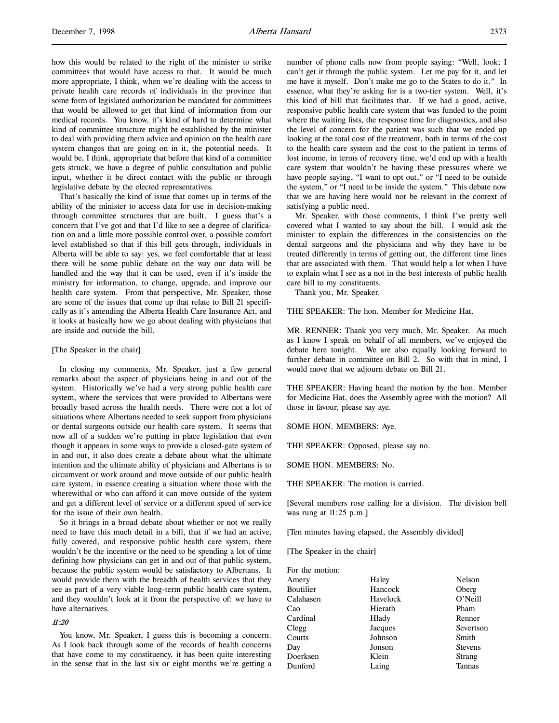how this would be related to the right of the minister to strike committees that would have access to that. It would be much more appropriate, I think, when we're dealing with the access to private health care records of individuals in the province that some form of legislated authorization be mandated for committees that would be allowed to get that kind of information from our medical records. You know, it's kind of hard to determine what kind of committee structure might be established by the minister to deal with providing them advice and opinion on the health care system changes that are going on in it, the potential needs. It would be, I think, appropriate that before that kind of a committee gets struck, we have a degree of public consultation and public input, whether it be direct contact with the public or through legislative debate by the elected representatives.

That's basically the kind of issue that comes up in terms of the ability of the minister to access data for use in decision-making through committee structures that are built. I guess that's a concern that I've got and that I'd like to see a degree of clarification on and a little more possible control over, a possible comfort level established so that if this bill gets through, individuals in Alberta will be able to say: yes, we feel comfortable that at least there will be some public debate on the way our data will be handled and the way that it can be used, even if it's inside the ministry for information, to change, upgrade, and improve our health care system. From that perspective, Mr. Speaker, those are some of the issues that come up that relate to Bill 21 specifically as it's amending the Alberta Health Care Insurance Act, and it looks at basically how we go about dealing with physicians that are inside and outside the bill.

## [The Speaker in the chair]

In closing my comments, Mr. Speaker, just a few general remarks about the aspect of physicians being in and out of the system. Historically we've had a very strong public health care system, where the services that were provided to Albertans were broadly based across the health needs. There were not a lot of situations where Albertans needed to seek support from physicians or dental surgeons outside our health care system. It seems that now all of a sudden we're putting in place legislation that even though it appears in some ways to provide a closed-gate system of in and out, it also does create a debate about what the ultimate intention and the ultimate ability of physicians and Albertans is to circumvent or work around and move outside of our public health care system, in essence creating a situation where those with the wherewithal or who can afford it can move outside of the system and get a different level of service or a different speed of service for the issue of their own health.

So it brings in a broad debate about whether or not we really need to have this much detail in a bill, that if we had an active, fully covered, and responsive public health care system, there wouldn't be the incentive or the need to be spending a lot of time defining how physicians can get in and out of that public system, because the public system would be satisfactory to Albertans. It would provide them with the breadth of health services that they see as part of a very viable long-term public health care system, and they wouldn't look at it from the perspective of: we have to have alternatives.

# 11:20

You know, Mr. Speaker, I guess this is becoming a concern. As I look back through some of the records of health concerns that have come to my constituency, it has been quite interesting in the sense that in the last six or eight months we're getting a number of phone calls now from people saying: "Well, look; I can't get it through the public system. Let me pay for it, and let me have it myself. Don't make me go to the States to do it." In essence, what they're asking for is a two-tier system. Well, it's this kind of bill that facilitates that. If we had a good, active, responsive public health care system that was funded to the point where the waiting lists, the response time for diagnostics, and also the level of concern for the patient was such that we ended up looking at the total cost of the treatment, both in terms of the cost to the health care system and the cost to the patient in terms of lost income, in terms of recovery time, we'd end up with a health care system that wouldn't be having these pressures where we have people saying, "I want to opt out," or "I need to be outside the system," or "I need to be inside the system." This debate now that we are having here would not be relevant in the context of satisfying a public need.

Mr. Speaker, with those comments, I think I've pretty well covered what I wanted to say about the bill. I would ask the minister to explain the differences in the consistencies on the dental surgeons and the physicians and why they have to be treated differently in terms of getting out, the different time lines that are associated with them. That would help a lot when I have to explain what I see as a not in the best interests of public health care bill to my constituents.

Thank you, Mr. Speaker.

THE SPEAKER: The hon. Member for Medicine Hat.

MR. RENNER: Thank you very much, Mr. Speaker. As much as I know I speak on behalf of all members, we've enjoyed the debate here tonight. We are also equally looking forward to further debate in committee on Bill 2. So with that in mind, I would move that we adjourn debate on Bill 21.

THE SPEAKER: Having heard the motion by the hon. Member for Medicine Hat, does the Assembly agree with the motion? All those in favour, please say aye.

SOME HON. MEMBERS: Aye.

THE SPEAKER: Opposed, please say no.

SOME HON. MEMBERS: No.

THE SPEAKER: The motion is carried.

[Several members rose calling for a division. The division bell was rung at 11:25 p.m.]

[Ten minutes having elapsed, the Assembly divided]

[The Speaker in the chair]

For the motion:

| Amery     | Haley    | Nelson         |
|-----------|----------|----------------|
| Boutilier | Hancock  | Oberg          |
| Calahasen | Havelock | O'Neill        |
| Cao       | Hierath  | Pham           |
| Cardinal  | Hlady    | Renner         |
| Clegg     | Jacques  | Severtson      |
| Coutts    | Johnson  | Smith          |
| Day       | Jonson   | <b>Stevens</b> |
| Doerksen  | Klein    | <b>Strang</b>  |
| Dunford   | Laing    | Tannas         |
|           |          |                |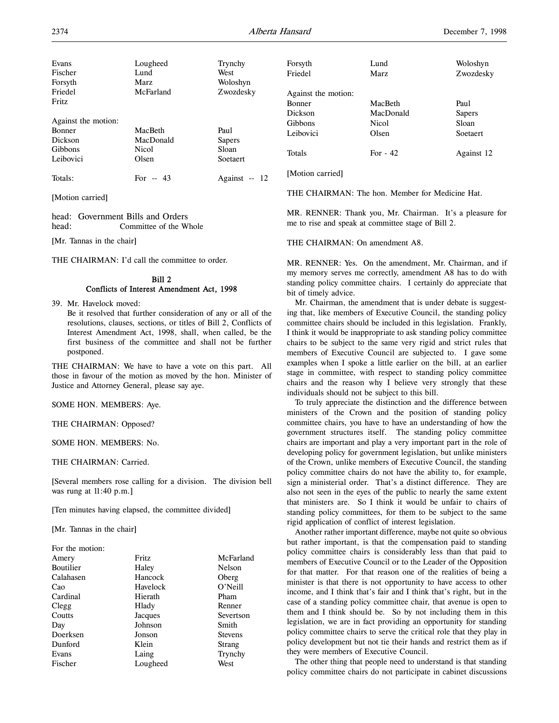| Evans<br>Fischer<br>Forsyth | Lougheed<br>Lund<br>Marz | Trynchy<br>West<br>Woloshyn | Forsyth<br>Friedel  | Lund<br>Marz | Woloshyn<br>Zwozdesky |
|-----------------------------|--------------------------|-----------------------------|---------------------|--------------|-----------------------|
| Friedel                     | McFarland                | Zwozdesky                   | Against the motion: |              |                       |
| Fritz                       |                          |                             | Bonner              | MacBeth      | Paul                  |
|                             |                          |                             | Dickson             | MacDonald    | <b>Sapers</b>         |
| Against the motion:         |                          |                             | <b>Gibbons</b>      | <b>Nicol</b> | Sloan                 |
| Bonner                      | MacBeth                  | Paul                        | Leibovici           | Olsen        | Soetaert              |
| Dickson                     | MacDonald                | <b>Sapers</b>               |                     |              |                       |
| Gibbons                     | Nicol                    | Sloan                       | Totals              | For $-42$    | Against 12            |
| Leibovici                   | Olsen                    | Soetaert                    |                     |              |                       |
| Totals:                     | For $-43$                | Against -- 12               | [Motion carried]    |              |                       |

[Motion carried]

head: Government Bills and Orders head: Committee of the Whole

[Mr. Tannas in the chair]

THE CHAIRMAN: I'd call the committee to order.

# Bill 2 Conflicts of Interest Amendment Act, 1998

39. Mr. Havelock moved:

Be it resolved that further consideration of any or all of the resolutions, clauses, sections, or titles of Bill 2, Conflicts of Interest Amendment Act, 1998, shall, when called, be the first business of the committee and shall not be further postponed.

THE CHAIRMAN: We have to have a vote on this part. All those in favour of the motion as moved by the hon. Minister of Justice and Attorney General, please say aye.

## SOME HON. MEMBERS: Aye.

THE CHAIRMAN: Opposed?

SOME HON. MEMBERS: No.

## THE CHAIRMAN: Carried.

[Several members rose calling for a division. The division bell was rung at 11:40 p.m.]

[Ten minutes having elapsed, the committee divided]

[Mr. Tannas in the chair]

| For the motion: |              |                |
|-----------------|--------------|----------------|
| Amery           | <b>Fritz</b> | McFarland      |
| Boutilier       | Haley        | Nelson         |
| Calahasen       | Hancock      | Oberg          |
| Cao             | Havelock     | O'Neill        |
| Cardinal        | Hierath      | Pham           |
| Clegg           | Hlady        | Renner         |
| Coutts          | Jacques      | Severtson      |
| Day             | Johnson      | Smith          |
| Doerksen        | Jonson       | <b>Stevens</b> |
| Dunford         | Klein        | Strang         |
| Evans           | Laing        | Trynchy        |
| Fischer         | Lougheed     | West           |
|                 |              |                |

THE CHAIRMAN: The hon. Member for Medicine Hat.

MR. RENNER: Thank you, Mr. Chairman. It's a pleasure for me to rise and speak at committee stage of Bill 2.

THE CHAIRMAN: On amendment A8.

MR. RENNER: Yes. On the amendment, Mr. Chairman, and if my memory serves me correctly, amendment A8 has to do with standing policy committee chairs. I certainly do appreciate that bit of timely advice.

Mr. Chairman, the amendment that is under debate is suggesting that, like members of Executive Council, the standing policy committee chairs should be included in this legislation. Frankly, I think it would be inappropriate to ask standing policy committee chairs to be subject to the same very rigid and strict rules that members of Executive Council are subjected to. I gave some examples when I spoke a little earlier on the bill, at an earlier stage in committee, with respect to standing policy committee chairs and the reason why I believe very strongly that these individuals should not be subject to this bill.

To truly appreciate the distinction and the difference between ministers of the Crown and the position of standing policy committee chairs, you have to have an understanding of how the government structures itself. The standing policy committee chairs are important and play a very important part in the role of developing policy for government legislation, but unlike ministers of the Crown, unlike members of Executive Council, the standing policy committee chairs do not have the ability to, for example, sign a ministerial order. That's a distinct difference. They are also not seen in the eyes of the public to nearly the same extent that ministers are. So I think it would be unfair to chairs of standing policy committees, for them to be subject to the same rigid application of conflict of interest legislation.

Another rather important difference, maybe not quite so obvious but rather important, is that the compensation paid to standing policy committee chairs is considerably less than that paid to members of Executive Council or to the Leader of the Opposition for that matter. For that reason one of the realities of being a minister is that there is not opportunity to have access to other income, and I think that's fair and I think that's right, but in the case of a standing policy committee chair, that avenue is open to them and I think should be. So by not including them in this legislation, we are in fact providing an opportunity for standing policy committee chairs to serve the critical role that they play in policy development but not tie their hands and restrict them as if they were members of Executive Council.

The other thing that people need to understand is that standing policy committee chairs do not participate in cabinet discussions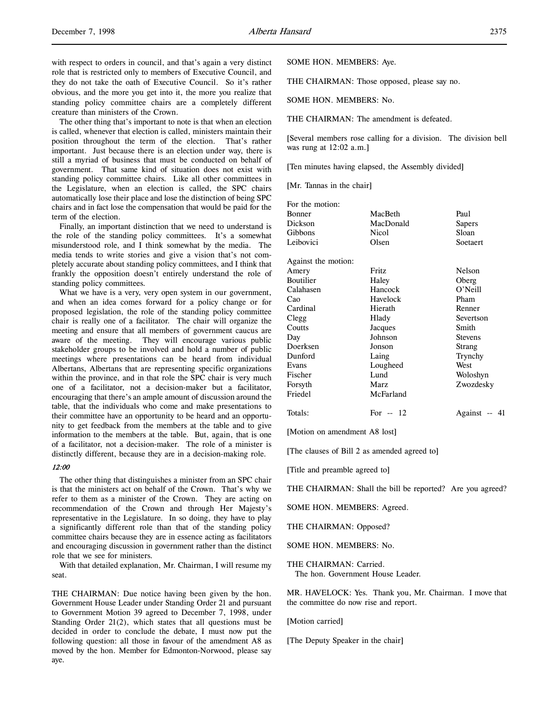with respect to orders in council, and that's again a very distinct role that is restricted only to members of Executive Council, and they do not take the oath of Executive Council. So it's rather obvious, and the more you get into it, the more you realize that standing policy committee chairs are a completely different creature than ministers of the Crown.

The other thing that's important to note is that when an election is called, whenever that election is called, ministers maintain their position throughout the term of the election. That's rather important. Just because there is an election under way, there is still a myriad of business that must be conducted on behalf of government. That same kind of situation does not exist with standing policy committee chairs. Like all other committees in the Legislature, when an election is called, the SPC chairs automatically lose their place and lose the distinction of being SPC chairs and in fact lose the compensation that would be paid for the term of the election.

Finally, an important distinction that we need to understand is the role of the standing policy committees. It's a somewhat misunderstood role, and I think somewhat by the media. The media tends to write stories and give a vision that's not completely accurate about standing policy committees, and I think that frankly the opposition doesn't entirely understand the role of standing policy committees.

What we have is a very, very open system in our government, and when an idea comes forward for a policy change or for proposed legislation, the role of the standing policy committee chair is really one of a facilitator. The chair will organize the meeting and ensure that all members of government caucus are aware of the meeting. They will encourage various public stakeholder groups to be involved and hold a number of public meetings where presentations can be heard from individual Albertans, Albertans that are representing specific organizations within the province, and in that role the SPC chair is very much one of a facilitator, not a decision-maker but a facilitator, encouraging that there's an ample amount of discussion around the table, that the individuals who come and make presentations to their committee have an opportunity to be heard and an opportunity to get feedback from the members at the table and to give information to the members at the table. But, again, that is one of a facilitator, not a decision-maker. The role of a minister is distinctly different, because they are in a decision-making role.

### 12:00

The other thing that distinguishes a minister from an SPC chair is that the ministers act on behalf of the Crown. That's why we refer to them as a minister of the Crown. They are acting on recommendation of the Crown and through Her Majesty's representative in the Legislature. In so doing, they have to play a significantly different role than that of the standing policy committee chairs because they are in essence acting as facilitators and encouraging discussion in government rather than the distinct role that we see for ministers.

With that detailed explanation, Mr. Chairman, I will resume my seat.

THE CHAIRMAN: Due notice having been given by the hon. Government House Leader under Standing Order 21 and pursuant to Government Motion 39 agreed to December 7, 1998, under Standing Order 21(2), which states that all questions must be decided in order to conclude the debate, I must now put the following question: all those in favour of the amendment A8 as moved by the hon. Member for Edmonton-Norwood, please say aye.

SOME HON. MEMBERS: Aye.

THE CHAIRMAN: Those opposed, please say no.

SOME HON. MEMBERS: No.

THE CHAIRMAN: The amendment is defeated.

[Several members rose calling for a division. The division bell was rung at 12:02 a.m.]

[Ten minutes having elapsed, the Assembly divided]

[Mr. Tannas in the chair]

| For the motion:     |           |                |  |
|---------------------|-----------|----------------|--|
| Bonner              | MacBeth   | Paul           |  |
| Dickson             | MacDonald | Sapers         |  |
| Gibbons             | Nicol     | Sloan          |  |
| Leibovici           | Olsen     | Soetaert       |  |
| Against the motion: |           |                |  |
| Amery               | Fritz     | <b>Nelson</b>  |  |
| Boutilier           | Haley     | Oberg          |  |
| Calahasen           | Hancock   | O'Neill        |  |
| Cao                 | Havelock  | Pham           |  |
| Cardinal            | Hierath   | Renner         |  |
| Clegg               | Hlady     | Severtson      |  |
| Coutts              | Jacques   | Smith          |  |
| Day                 | Johnson   | <b>Stevens</b> |  |
| Doerksen            | Jonson    | Strang         |  |
| Dunford             | Laing     | Trynchy        |  |
| Evans               | Lougheed  | West           |  |
| Fischer             | Lund      | Woloshyn       |  |
| Forsyth             | Marz      | Zwozdesky      |  |
| Friedel             | McFarland |                |  |
| Totals:             | For $-12$ | Against -- 41  |  |

[Motion on amendment A8 lost]

[The clauses of Bill 2 as amended agreed to]

[Title and preamble agreed to]

THE CHAIRMAN: Shall the bill be reported? Are you agreed?

SOME HON. MEMBERS: Agreed.

THE CHAIRMAN: Opposed?

SOME HON. MEMBERS: No.

THE CHAIRMAN: Carried. The hon. Government House Leader.

MR. HAVELOCK: Yes. Thank you, Mr. Chairman. I move that the committee do now rise and report.

[Motion carried]

[The Deputy Speaker in the chair]